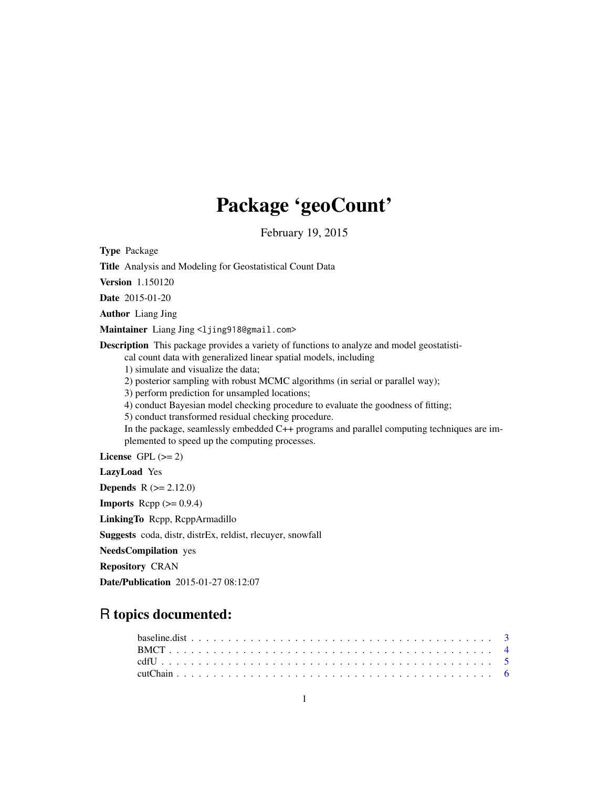# Package 'geoCount'

February 19, 2015

Type Package

Title Analysis and Modeling for Geostatistical Count Data

Version 1.150120

Date 2015-01-20

Author Liang Jing

Maintainer Liang Jing <ljing918@gmail.com>

Description This package provides a variety of functions to analyze and model geostatisti-

cal count data with generalized linear spatial models, including

1) simulate and visualize the data;

2) posterior sampling with robust MCMC algorithms (in serial or parallel way);

3) perform prediction for unsampled locations;

4) conduct Bayesian model checking procedure to evaluate the goodness of fitting;

5) conduct transformed residual checking procedure.

In the package, seamlessly embedded C++ programs and parallel computing techniques are implemented to speed up the computing processes.

License GPL  $(>= 2)$ 

LazyLoad Yes **Depends**  $R (= 2.12.0)$ 

**Imports** Rcpp  $(>= 0.9.4)$ 

LinkingTo Rcpp, RcppArmadillo

Suggests coda, distr, distrEx, reldist, rlecuyer, snowfall

NeedsCompilation yes

Repository CRAN

Date/Publication 2015-01-27 08:12:07

# R topics documented: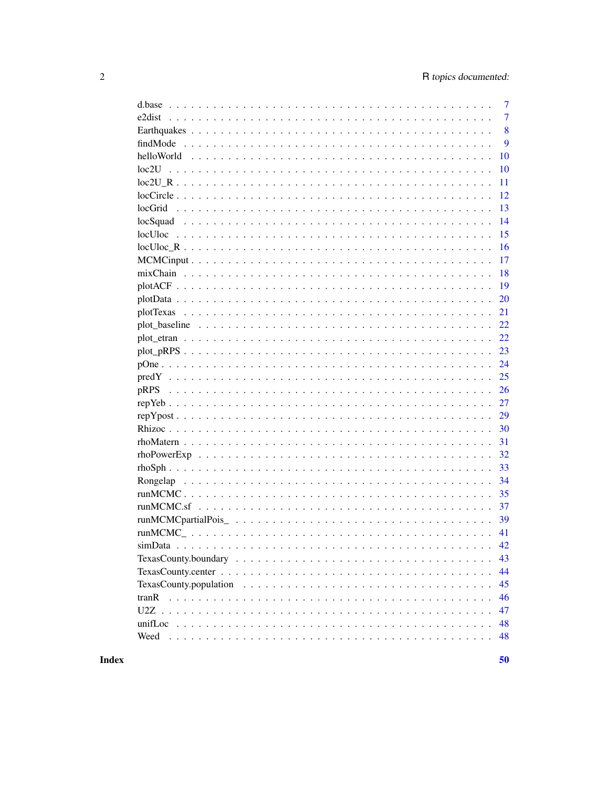|       | 7              |
|-------|----------------|
|       | $\overline{7}$ |
|       | 8              |
|       | 9              |
|       | 10             |
|       | 10             |
|       | 11             |
|       | 12             |
|       | 13             |
|       | 14             |
|       | 15             |
|       | 16             |
|       | 17             |
|       | 18             |
|       | 19             |
|       | 20             |
| 21    |                |
|       | 22             |
|       | 22             |
|       | 23             |
|       | 24             |
|       | 25             |
| pRPS  | 26             |
|       | 27             |
|       | 29             |
|       | 30             |
|       | 31             |
|       | 32             |
|       | 33             |
|       | 34             |
|       | 35             |
|       | 37             |
|       | 39             |
| 41    |                |
|       |                |
|       | 43             |
|       | 44             |
|       | 45             |
| tranR | 46             |
|       | 47             |
|       | 48             |
| Weed  | 48             |
|       |                |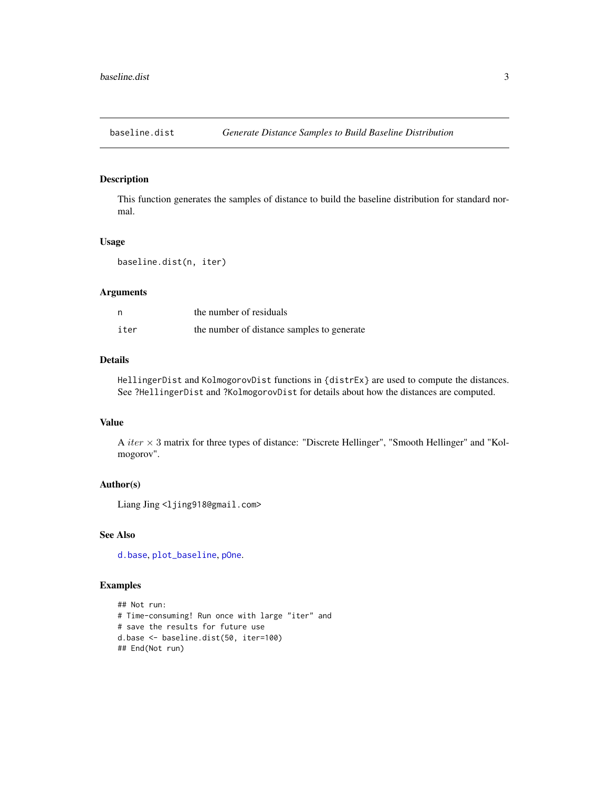<span id="page-2-1"></span><span id="page-2-0"></span>

This function generates the samples of distance to build the baseline distribution for standard normal.

#### Usage

baseline.dist(n, iter)

#### Arguments

| n    | the number of residuals                    |
|------|--------------------------------------------|
| iter | the number of distance samples to generate |

#### Details

HellingerDist and KolmogorovDist functions in {distrEx} are used to compute the distances. See ?HellingerDist and ?KolmogorovDist for details about how the distances are computed.

#### Value

A iter  $\times$  3 matrix for three types of distance: "Discrete Hellinger", "Smooth Hellinger" and "Kolmogorov".

#### Author(s)

Liang Jing <ljing918@gmail.com>

#### See Also

[d.base](#page-6-1), [plot\\_baseline](#page-21-1), [pOne](#page-23-1).

```
## Not run:
# Time-consuming! Run once with large "iter" and
# save the results for future use
d.base <- baseline.dist(50, iter=100)
## End(Not run)
```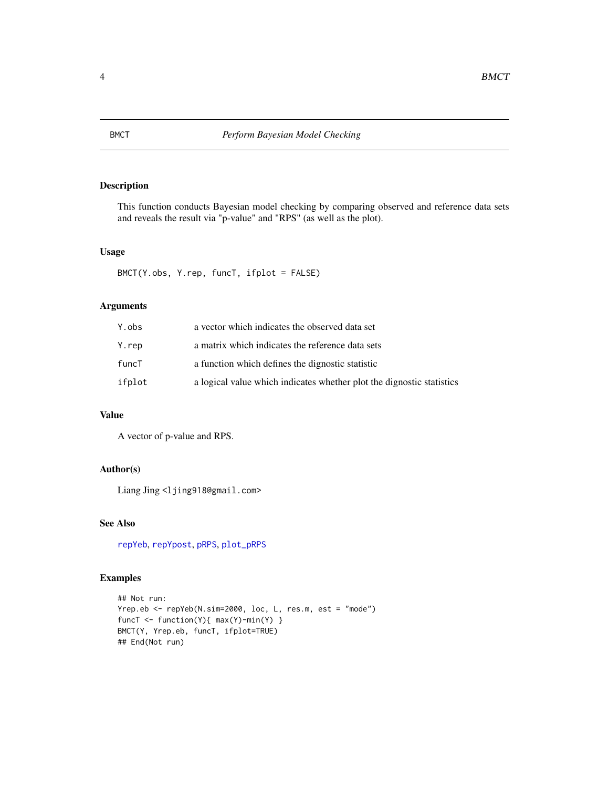<span id="page-3-1"></span><span id="page-3-0"></span>

This function conducts Bayesian model checking by comparing observed and reference data sets and reveals the result via "p-value" and "RPS" (as well as the plot).

#### Usage

```
BMCT(Y.obs, Y.rep, funcT, ifplot = FALSE)
```
# Arguments

| Y.obs  | a vector which indicates the observed data set                        |
|--------|-----------------------------------------------------------------------|
| Y.rep  | a matrix which indicates the reference data sets                      |
| funcT  | a function which defines the dignostic statistic                      |
| ifplot | a logical value which indicates whether plot the dignostic statistics |

# Value

A vector of p-value and RPS.

#### Author(s)

Liang Jing <ljing918@gmail.com>

# See Also

[repYeb](#page-26-1), [repYpost](#page-28-1), [pRPS](#page-25-1), [plot\\_pRPS](#page-22-1)

```
## Not run:
Yrep.eb <- repYeb(N.sim=2000, loc, L, res.m, est = "mode")
funcT <- function(Y){ max(Y)-min(Y) }
BMCT(Y, Yrep.eb, funcT, ifplot=TRUE)
## End(Not run)
```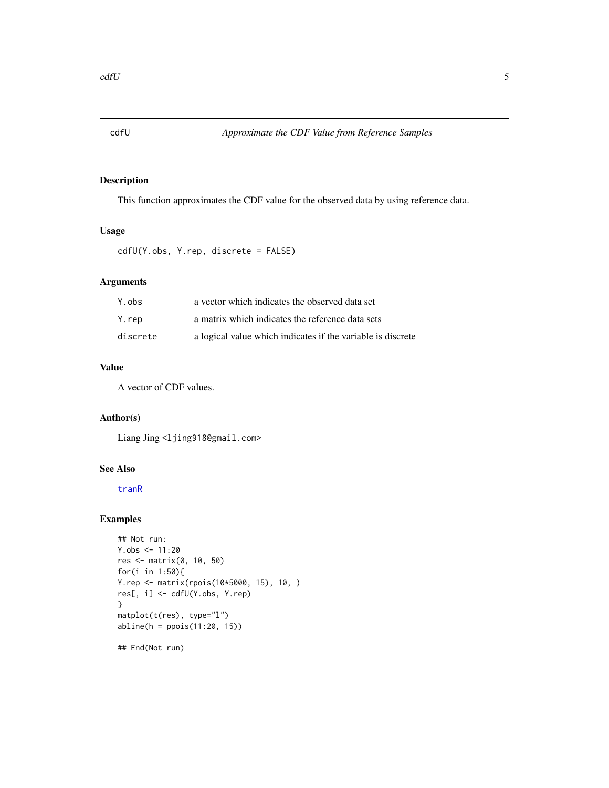<span id="page-4-1"></span><span id="page-4-0"></span>

This function approximates the CDF value for the observed data by using reference data.

# Usage

```
cdfU(Y.obs, Y.rep, discrete = FALSE)
```
# Arguments

| Y.obs    | a vector which indicates the observed data set              |
|----------|-------------------------------------------------------------|
| Y.rep    | a matrix which indicates the reference data sets            |
| discrete | a logical value which indicates if the variable is discrete |

# Value

A vector of CDF values.

# Author(s)

Liang Jing <ljing918@gmail.com>

#### See Also

[tranR](#page-45-1)

```
## Not run:
Y.obs < -11:20res <- matrix(0, 10, 50)
for(i in 1:50){
Y.rep <- matrix(rpois(10*5000, 15), 10, )
res[, i] <- cdfU(Y.obs, Y.rep)
}
matplot(t(res), type="l")
abline(h = ppois(11:20, 15))
## End(Not run)
```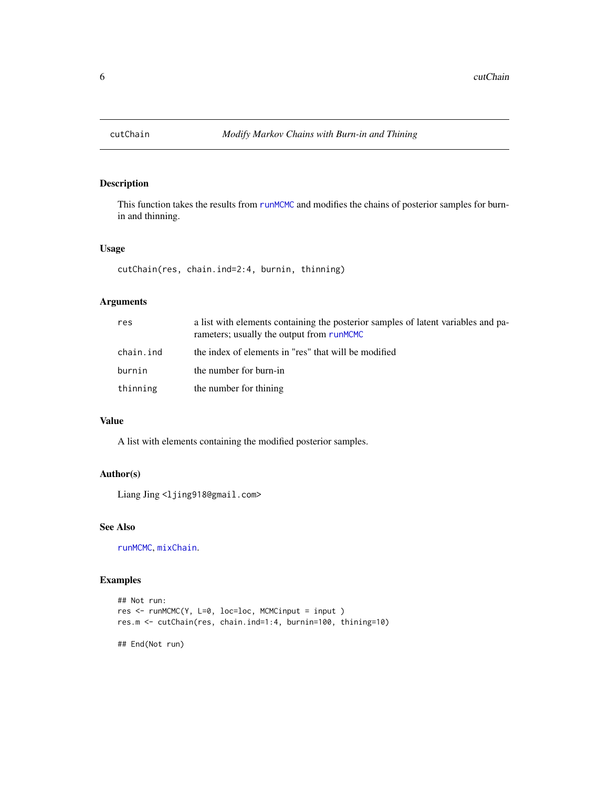<span id="page-5-1"></span><span id="page-5-0"></span>

This function takes the results from [runMCMC](#page-34-1) and modifies the chains of posterior samples for burnin and thinning.

#### Usage

```
cutChain(res, chain.ind=2:4, burnin, thinning)
```
#### Arguments

| res       | a list with elements containing the posterior samples of latent variables and pa-<br>rameters; usually the output from runMCMC |
|-----------|--------------------------------------------------------------------------------------------------------------------------------|
| chain.ind | the index of elements in "res" that will be modified                                                                           |
| burnin    | the number for burn-in                                                                                                         |
| thinning  | the number for thining                                                                                                         |

#### Value

A list with elements containing the modified posterior samples.

#### Author(s)

Liang Jing <ljing918@gmail.com>

#### See Also

[runMCMC](#page-34-1), [mixChain](#page-17-1).

#### Examples

```
## Not run:
res <- runMCMC(Y, L=0, loc=loc, MCMCinput = input )
res.m <- cutChain(res, chain.ind=1:4, burnin=100, thining=10)
```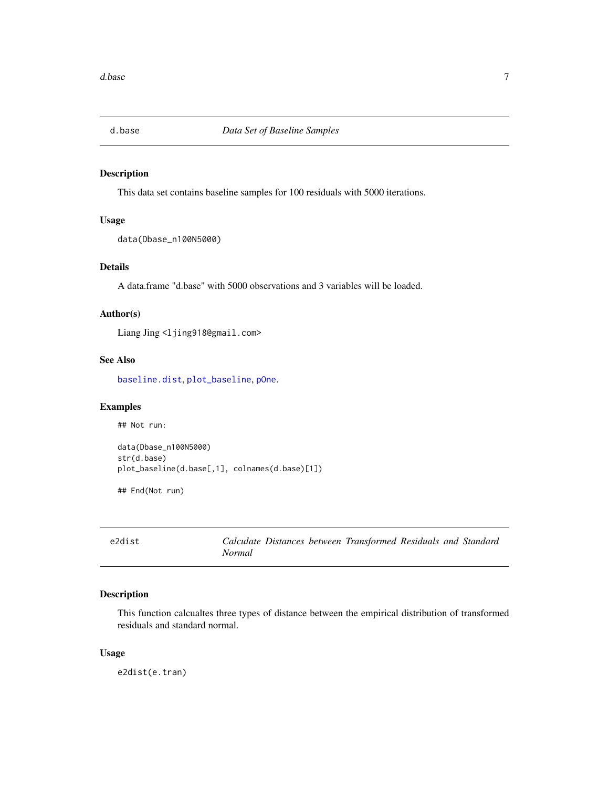<span id="page-6-1"></span><span id="page-6-0"></span>

This data set contains baseline samples for 100 residuals with 5000 iterations.

#### Usage

data(Dbase\_n100N5000)

#### Details

A data.frame "d.base" with 5000 observations and 3 variables will be loaded.

#### Author(s)

Liang Jing <ljing918@gmail.com>

#### See Also

[baseline.dist](#page-2-1), [plot\\_baseline](#page-21-1), [pOne](#page-23-1).

#### Examples

## Not run:

```
data(Dbase_n100N5000)
str(d.base)
plot_baseline(d.base[,1], colnames(d.base)[1])
```
## End(Not run)

<span id="page-6-2"></span>

| e2dist |        |  | Calculate Distances between Transformed Residuals and Standard |  |  |
|--------|--------|--|----------------------------------------------------------------|--|--|
|        | Normal |  |                                                                |  |  |

# Description

This function calcualtes three types of distance between the empirical distribution of transformed residuals and standard normal.

#### Usage

e2dist(e.tran)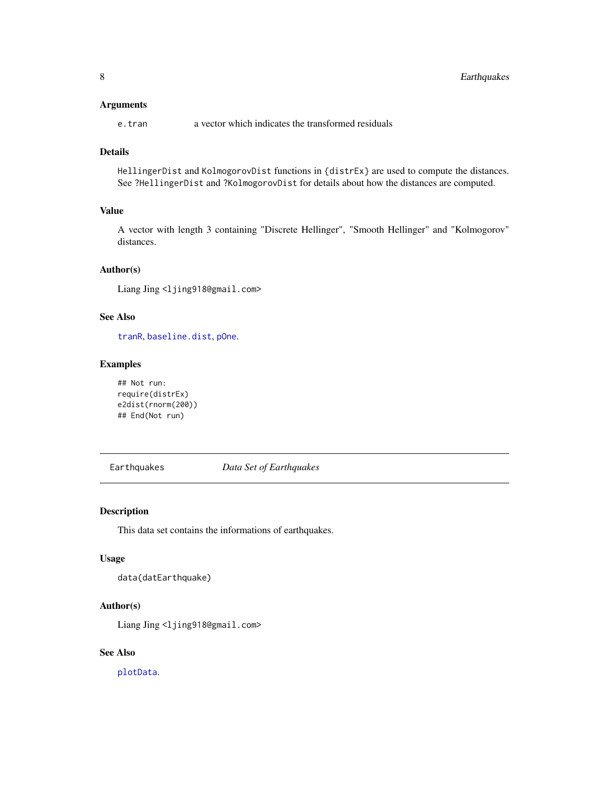#### <span id="page-7-0"></span>Arguments

e.tran a vector which indicates the transformed residuals

#### Details

HellingerDist and KolmogorovDist functions in {distrEx} are used to compute the distances. See ?HellingerDist and ?KolmogorovDist for details about how the distances are computed.

#### Value

A vector with length 3 containing "Discrete Hellinger", "Smooth Hellinger" and "Kolmogorov" distances.

#### Author(s)

Liang Jing <ljing918@gmail.com>

# See Also

[tranR](#page-45-1), [baseline.dist](#page-2-1), [pOne](#page-23-1).

#### Examples

```
## Not run:
require(distrEx)
e2dist(rnorm(200))
## End(Not run)
```
Earthquakes *Data Set of Earthquakes*

#### Description

This data set contains the informations of earthquakes.

#### Usage

data(datEarthquake)

#### Author(s)

Liang Jing <ljing918@gmail.com>

#### See Also

[plotData](#page-19-1).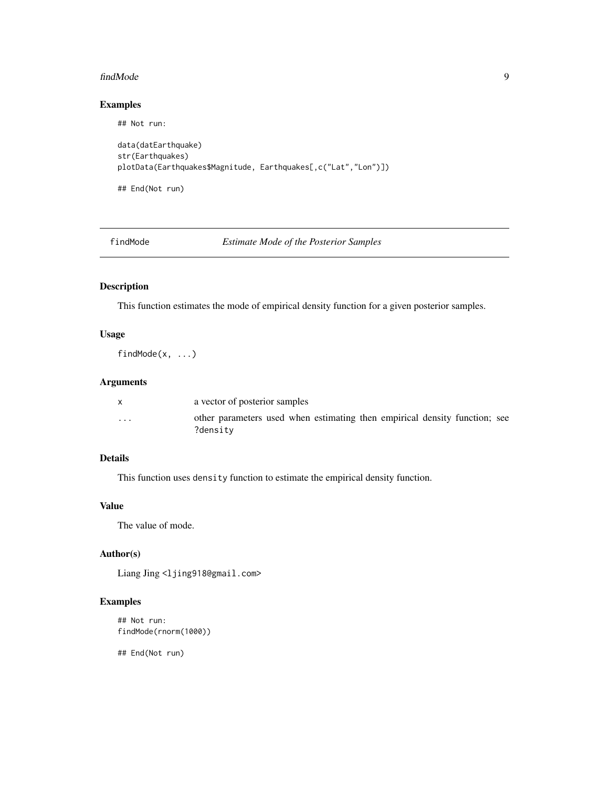#### <span id="page-8-0"></span>findMode 9

#### Examples

```
## Not run:
data(datEarthquake)
str(Earthquakes)
plotData(Earthquakes$Magnitude, Earthquakes[,c("Lat","Lon")])
## End(Not run)
```
findMode *Estimate Mode of the Posterior Samples*

# Description

This function estimates the mode of empirical density function for a given posterior samples.

# Usage

findMode(x, ...)

# Arguments

|                         | a vector of posterior samples                                                          |
|-------------------------|----------------------------------------------------------------------------------------|
| $\cdot$ $\cdot$ $\cdot$ | other parameters used when estimating then empirical density function; see<br>?densitv |

#### Details

This function uses density function to estimate the empirical density function.

#### Value

The value of mode.

#### Author(s)

Liang Jing <ljing918@gmail.com>

# Examples

```
## Not run:
findMode(rnorm(1000))
```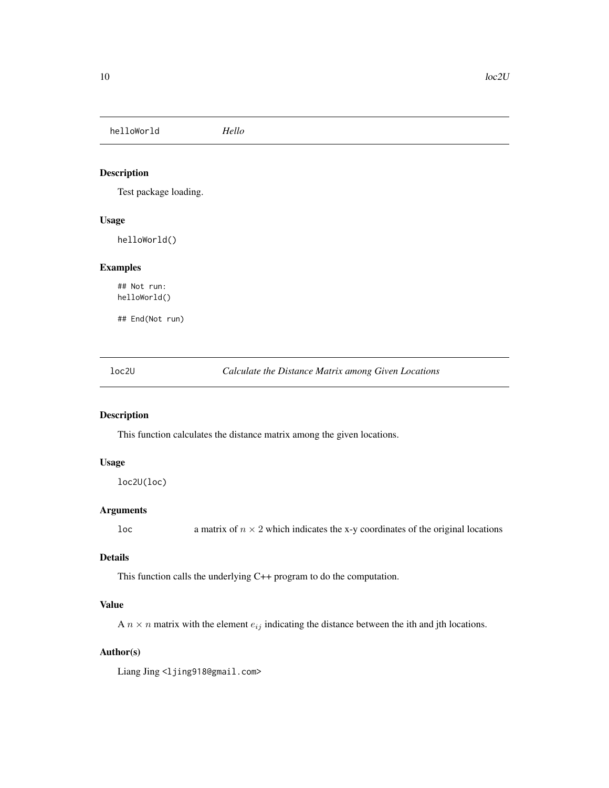<span id="page-9-0"></span>helloWorld *Hello*

# Description

Test package loading.

#### Usage

helloWorld()

# Examples

## Not run: helloWorld()

## End(Not run)

<span id="page-9-1"></span>loc2U *Calculate the Distance Matrix among Given Locations*

# Description

This function calculates the distance matrix among the given locations.

#### Usage

loc2U(loc)

#### Arguments

loc a matrix of  $n \times 2$  which indicates the x-y coordinates of the original locations

#### Details

This function calls the underlying C++ program to do the computation.

#### Value

A  $n \times n$  matrix with the element  $e_{ij}$  indicating the distance between the ith and jth locations.

#### Author(s)

Liang Jing <ljing918@gmail.com>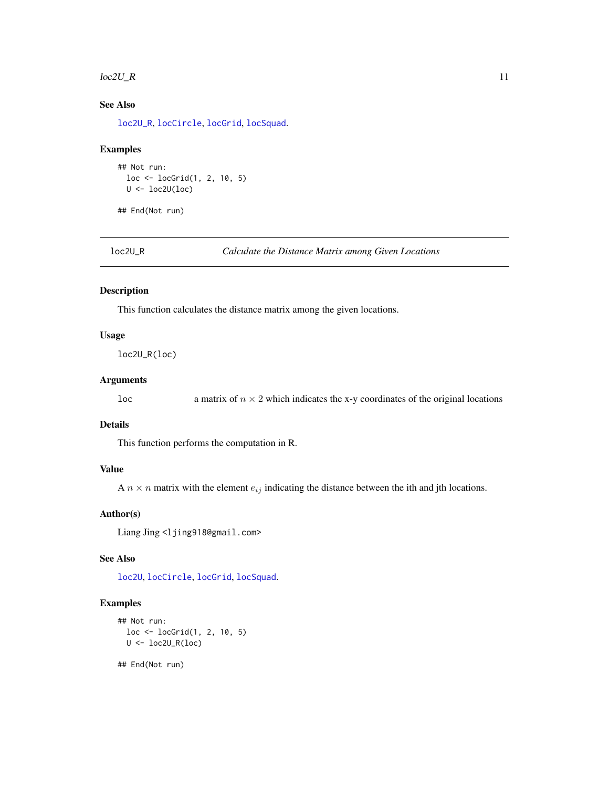#### <span id="page-10-0"></span> $\text{loc2U\_R}$  11

# See Also

[loc2U\\_R](#page-10-1), [locCircle](#page-11-1), [locGrid](#page-12-1), [locSquad](#page-13-1).

#### Examples

```
## Not run:
 loc <- locGrid(1, 2, 10, 5)
 U <- loc2U(loc)
```
## End(Not run)

<span id="page-10-1"></span>loc2U\_R *Calculate the Distance Matrix among Given Locations*

#### Description

This function calculates the distance matrix among the given locations.

#### Usage

loc2U\_R(loc)

#### Arguments

loc a matrix of  $n \times 2$  which indicates the x-y coordinates of the original locations

### Details

This function performs the computation in R.

# Value

A  $n \times n$  matrix with the element  $e_{ij}$  indicating the distance between the ith and jth locations.

# Author(s)

Liang Jing <ljing918@gmail.com>

#### See Also

[loc2U](#page-9-1), [locCircle](#page-11-1), [locGrid](#page-12-1), [locSquad](#page-13-1).

```
## Not run:
  loc <- locGrid(1, 2, 10, 5)
  U \leftarrow \text{loc2U\_R}(\text{loc})
```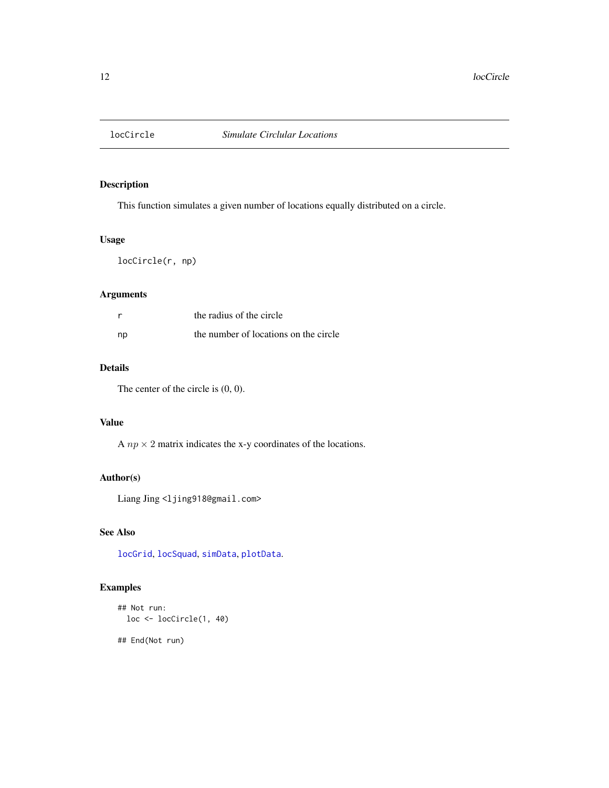<span id="page-11-1"></span><span id="page-11-0"></span>

This function simulates a given number of locations equally distributed on a circle.

# Usage

locCircle(r, np)

# Arguments

|    | the radius of the circle              |
|----|---------------------------------------|
| np | the number of locations on the circle |

# Details

The center of the circle is (0, 0).

#### Value

A  $np \times 2$  matrix indicates the x-y coordinates of the locations.

#### Author(s)

Liang Jing <ljing918@gmail.com>

# See Also

[locGrid](#page-12-1), [locSquad](#page-13-1), [simData](#page-41-1), [plotData](#page-19-1).

# Examples

```
## Not run:
 loc <- locCircle(1, 40)
```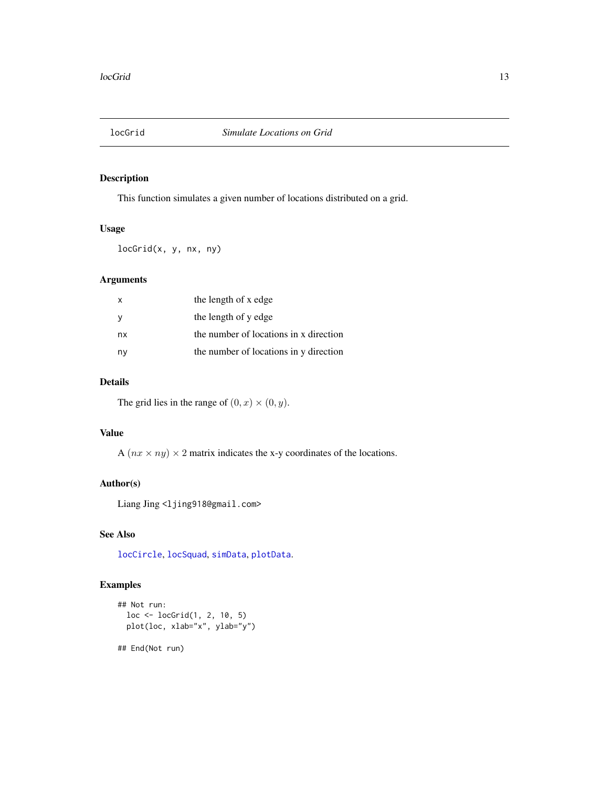<span id="page-12-1"></span><span id="page-12-0"></span>

This function simulates a given number of locations distributed on a grid.

# Usage

locGrid(x, y, nx, ny)

#### Arguments

| $\mathsf{x}$ | the length of x edge                   |
|--------------|----------------------------------------|
| - V          | the length of y edge                   |
| nx           | the number of locations in x direction |
| ny           | the number of locations in y direction |

# Details

The grid lies in the range of  $(0, x) \times (0, y)$ .

#### Value

A  $(nx \times ny) \times 2$  matrix indicates the x-y coordinates of the locations.

#### Author(s)

Liang Jing <ljing918@gmail.com>

#### See Also

[locCircle](#page-11-1), [locSquad](#page-13-1), [simData](#page-41-1), [plotData](#page-19-1).

# Examples

```
## Not run:
  loc <- locGrid(1, 2, 10, 5)
  plot(loc, xlab="x", ylab="y")
```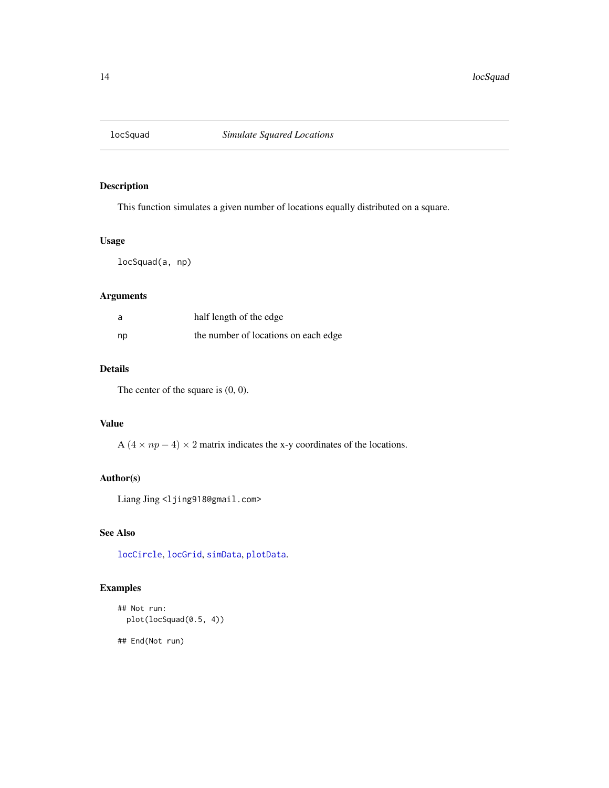<span id="page-13-1"></span><span id="page-13-0"></span>

This function simulates a given number of locations equally distributed on a square.

# Usage

locSquad(a, np)

# Arguments

| a  | half length of the edge              |
|----|--------------------------------------|
| np | the number of locations on each edge |

# Details

The center of the square is  $(0, 0)$ .

# Value

A  $(4 \times np - 4) \times 2$  matrix indicates the x-y coordinates of the locations.

#### Author(s)

Liang Jing <ljing918@gmail.com>

#### See Also

[locCircle](#page-11-1), [locGrid](#page-12-1), [simData](#page-41-1), [plotData](#page-19-1).

# Examples

```
## Not run:
  plot(locSquad(0.5, 4))
```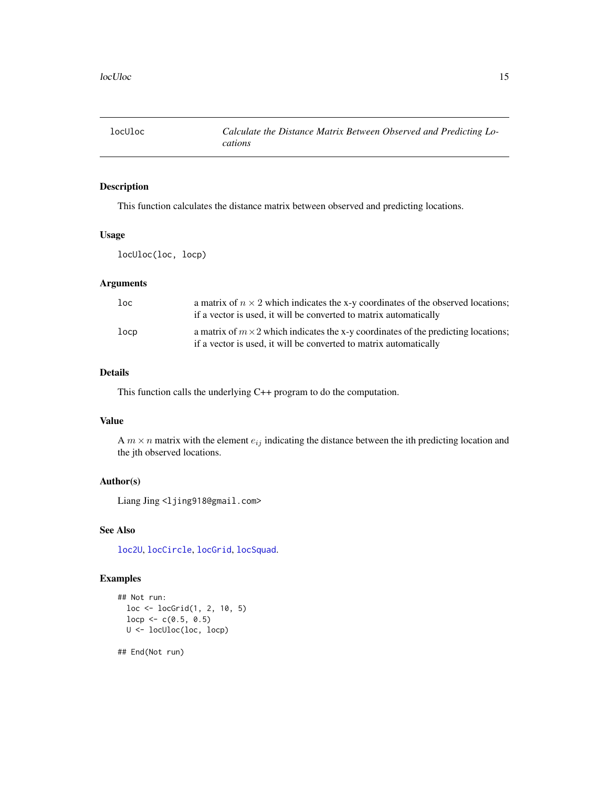<span id="page-14-1"></span><span id="page-14-0"></span>

This function calculates the distance matrix between observed and predicting locations.

# Usage

locUloc(loc, locp)

#### Arguments

| loc  | a matrix of $n \times 2$ which indicates the x-y coordinates of the observed locations;<br>if a vector is used, it will be converted to matrix automatically   |
|------|----------------------------------------------------------------------------------------------------------------------------------------------------------------|
| locp | a matrix of $m \times 2$ which indicates the x-y coordinates of the predicting locations;<br>if a vector is used, it will be converted to matrix automatically |

# Details

This function calls the underlying C++ program to do the computation.

# Value

A  $m \times n$  matrix with the element  $e_{ij}$  indicating the distance between the ith predicting location and the jth observed locations.

# Author(s)

Liang Jing <ljing918@gmail.com>

#### See Also

[loc2U](#page-9-1), [locCircle](#page-11-1), [locGrid](#page-12-1), [locSquad](#page-13-1).

# Examples

```
## Not run:
  loc <- locGrid(1, 2, 10, 5)
  loop \leftarrow c(0.5, 0.5)U <- locUloc(loc, locp)
```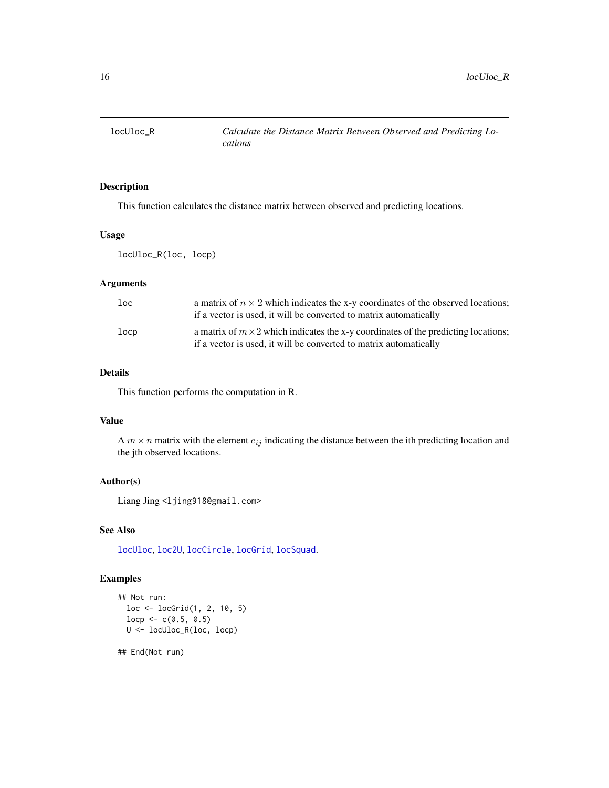<span id="page-15-0"></span>

This function calculates the distance matrix between observed and predicting locations.

# Usage

locUloc\_R(loc, locp)

#### Arguments

| loc  | a matrix of $n \times 2$ which indicates the x-y coordinates of the observed locations;<br>if a vector is used, it will be converted to matrix automatically   |
|------|----------------------------------------------------------------------------------------------------------------------------------------------------------------|
| locp | a matrix of $m \times 2$ which indicates the x-y coordinates of the predicting locations;<br>if a vector is used, it will be converted to matrix automatically |

#### Details

This function performs the computation in R.

# Value

A  $m \times n$  matrix with the element  $e_{ij}$  indicating the distance between the ith predicting location and the jth observed locations.

# Author(s)

Liang Jing <ljing918@gmail.com>

#### See Also

[locUloc](#page-14-1), [loc2U](#page-9-1), [locCircle](#page-11-1), [locGrid](#page-12-1), [locSquad](#page-13-1).

# Examples

```
## Not run:
  loc <- locGrid(1, 2, 10, 5)
  loop \leftarrow c(0.5, 0.5)U <- locUloc_R(loc, locp)
```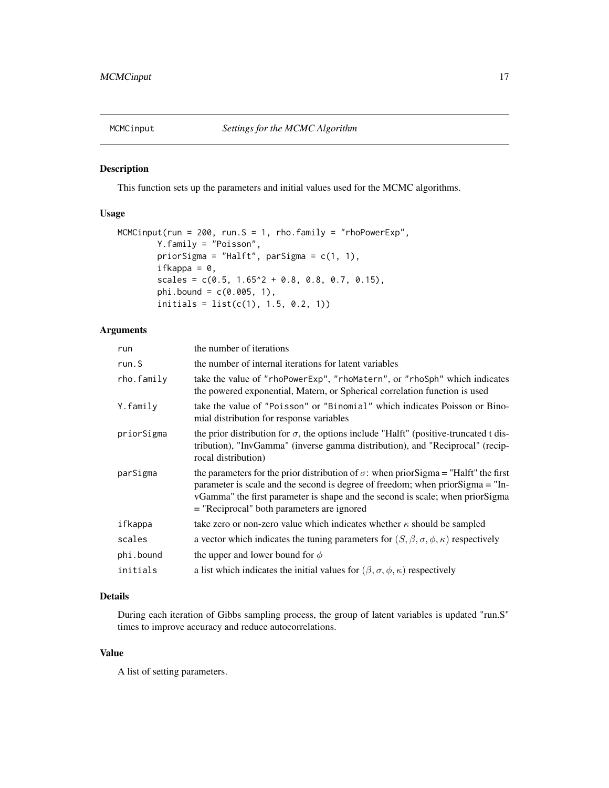<span id="page-16-1"></span><span id="page-16-0"></span>

This function sets up the parameters and initial values used for the MCMC algorithms.

# Usage

```
MCMCinput(run = 200, run. S = 1, rho. family = "rhoPowerExp",
        Y.family = "Poisson",
        priorSigma = "Halft", parSigma = c(1, 1),
        ifkappa = 0,
        scales = c(0.5, 1.65^2 + 0.8, 0.8, 0.7, 0.15),
        phi.bound = c(0.005, 1),
        initials = list(c(1), 1.5, 0.2, 1))
```
# Arguments

| run        | the number of iterations                                                                                                                                                                                                                                                                                         |  |
|------------|------------------------------------------------------------------------------------------------------------------------------------------------------------------------------------------------------------------------------------------------------------------------------------------------------------------|--|
| run.S      | the number of internal iterations for latent variables                                                                                                                                                                                                                                                           |  |
| rho.family | take the value of "rhoPowerExp", "rhoMatern", or "rhoSph" which indicates<br>the powered exponential, Matern, or Spherical correlation function is used                                                                                                                                                          |  |
| Y.family   | take the value of "Poisson" or "Binomial" which indicates Poisson or Bino-<br>mial distribution for response variables                                                                                                                                                                                           |  |
| priorSigma | the prior distribution for $\sigma$ , the options include "Halft" (positive-truncated t dis-<br>tribution), "InvGamma" (inverse gamma distribution), and "Reciprocal" (recip-<br>rocal distribution)                                                                                                             |  |
| parSigma   | the parameters for the prior distribution of $\sigma$ : when prior Sigma = "Halft" the first<br>parameter is scale and the second is degree of freedom; when prior Sigma = "In-<br>vGamma" the first parameter is shape and the second is scale; when priorSigma<br>$=$ "Reciprocal" both parameters are ignored |  |
| ifkappa    | take zero or non-zero value which indicates whether $\kappa$ should be sampled                                                                                                                                                                                                                                   |  |
| scales     | a vector which indicates the tuning parameters for $(S, \beta, \sigma, \phi, \kappa)$ respectively                                                                                                                                                                                                               |  |
| phi.bound  | the upper and lower bound for $\phi$                                                                                                                                                                                                                                                                             |  |
| initials   | a list which indicates the initial values for $(\beta, \sigma, \phi, \kappa)$ respectively                                                                                                                                                                                                                       |  |

#### Details

During each iteration of Gibbs sampling process, the group of latent variables is updated "run.S" times to improve accuracy and reduce autocorrelations.

# Value

A list of setting parameters.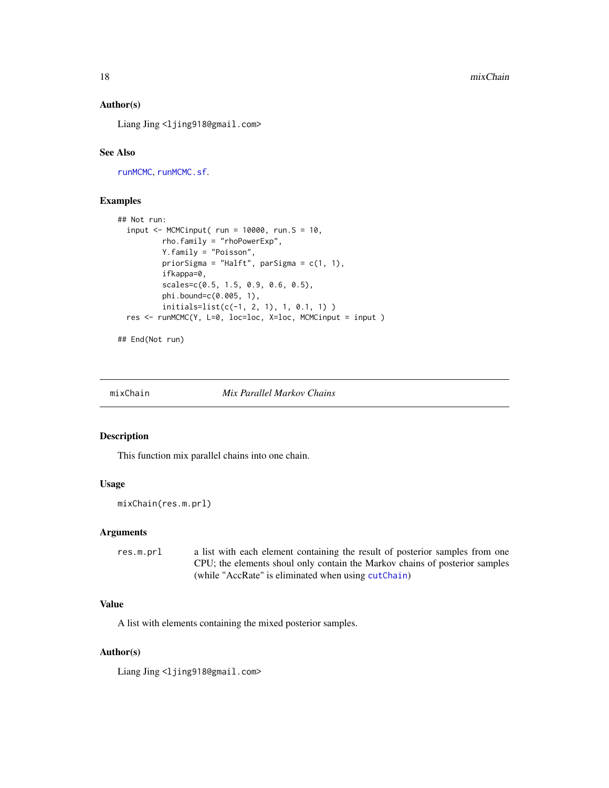#### Author(s)

Liang Jing <ljing918@gmail.com>

# See Also

[runMCMC](#page-34-1), [runMCMC.sf](#page-36-1).

#### Examples

```
## Not run:
 input \leq MCMCinput( run = 10000, run. S = 10,
         rho.family = "rhoPowerExp",
         Y.family = "Poisson",
          priorSigma = "Halft", parSigma = c(1, 1),
          ifkappa=0,
          scales=c(0.5, 1.5, 0.9, 0.6, 0.5),
          phi.bound=c(0.005, 1),
          initials=list(c(-1, 2, 1), 1, 0.1, 1) )
 res <- runMCMC(Y, L=0, loc=loc, X=loc, MCMCinput = input )
```
## End(Not run)

<span id="page-17-1"></span>

mixChain *Mix Parallel Markov Chains*

#### Description

This function mix parallel chains into one chain.

#### Usage

```
mixChain(res.m.prl)
```
#### Arguments

res.m.prl a list with each element containing the result of posterior samples from one CPU; the elements shoul only contain the Markov chains of posterior samples (while "AccRate" is eliminated when using [cutChain](#page-5-1))

#### Value

A list with elements containing the mixed posterior samples.

#### Author(s)

Liang Jing <ljing918@gmail.com>

<span id="page-17-0"></span>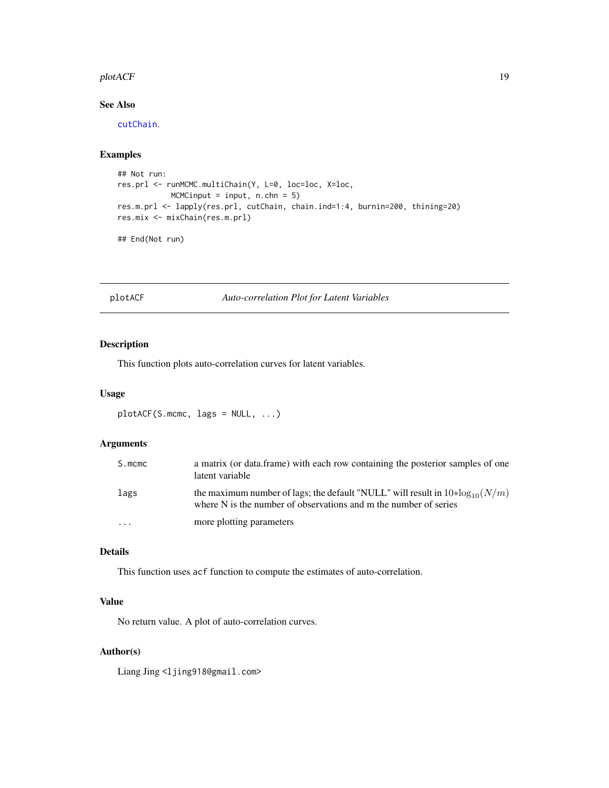#### <span id="page-18-0"></span>plotACF 19

# See Also

[cutChain](#page-5-1).

# Examples

```
## Not run:
res.prl <- runMCMC.multiChain(Y, L=0, loc=loc, X=loc,
           MCMCinput = input, n.chn = 5)res.m.prl <- lapply(res.prl, cutChain, chain.ind=1:4, burnin=200, thining=20)
res.mix <- mixChain(res.m.prl)
```
## End(Not run)

plotACF *Auto-correlation Plot for Latent Variables*

# Description

This function plots auto-correlation curves for latent variables.

#### Usage

```
plotACF(S.mcmc, lags = NULL, ...)
```
# Arguments

| S.mcmc  | a matrix (or data.frame) with each row containing the posterior samples of one<br>latent variable                                                    |
|---------|------------------------------------------------------------------------------------------------------------------------------------------------------|
| lags    | the maximum number of lags; the default "NULL" will result in $10*log_{10}(N/m)$<br>where N is the number of observations and m the number of series |
| $\cdot$ | more plotting parameters                                                                                                                             |

# Details

This function uses acf function to compute the estimates of auto-correlation.

#### Value

No return value. A plot of auto-correlation curves.

# Author(s)

Liang Jing <ljing918@gmail.com>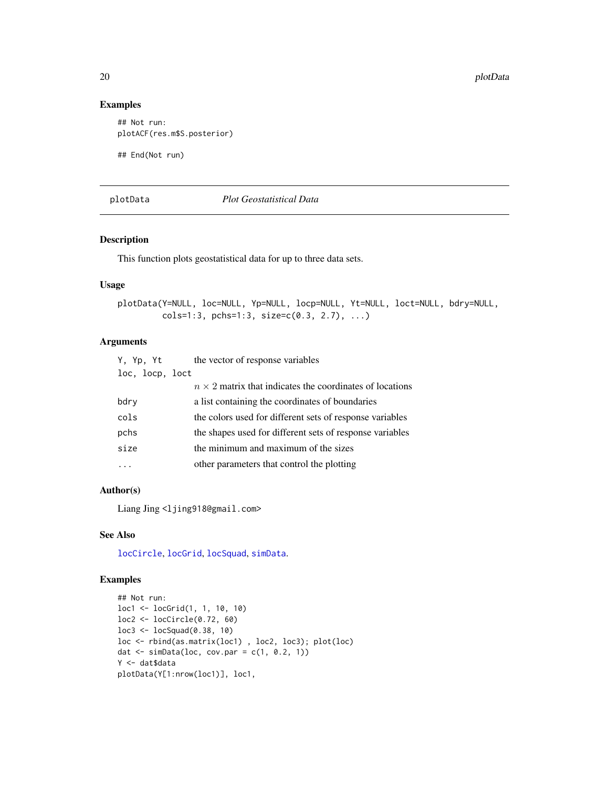#### Examples

```
## Not run:
plotACF(res.m$S.posterior)
```
## End(Not run)

#### <span id="page-19-1"></span>plotData *Plot Geostatistical Data*

# Description

This function plots geostatistical data for up to three data sets.

# Usage

```
plotData(Y=NULL, loc=NULL, Yp=NULL, locp=NULL, Yt=NULL, loct=NULL, bdry=NULL,
        cols=1:3, pchs=1:3, size=c(0.3, 2.7), ...)
```
#### Arguments

| Y, Yp, Yt       | the vector of response variables                                |
|-----------------|-----------------------------------------------------------------|
| loc, locp, loct |                                                                 |
|                 | $n \times 2$ matrix that indicates the coordinates of locations |
| bdry            | a list containing the coordinates of boundaries                 |
| cols            | the colors used for different sets of response variables        |
| pchs            | the shapes used for different sets of response variables        |
| size            | the minimum and maximum of the sizes                            |
|                 | other parameters that control the plotting                      |

# Author(s)

Liang Jing <ljing918@gmail.com>

#### See Also

[locCircle](#page-11-1), [locGrid](#page-12-1), [locSquad](#page-13-1), [simData](#page-41-1).

```
## Not run:
loc1 <- locGrid(1, 1, 10, 10)
loc2 <- locCircle(0.72, 60)
loc3 <- locSquad(0.38, 10)
loc <- rbind(as.matrix(loc1) , loc2, loc3); plot(loc)
dat \le simData(loc, cov.par = c(1, 0.2, 1))
Y <- dat$data
plotData(Y[1:nrow(loc1)], loc1,
```
<span id="page-19-0"></span>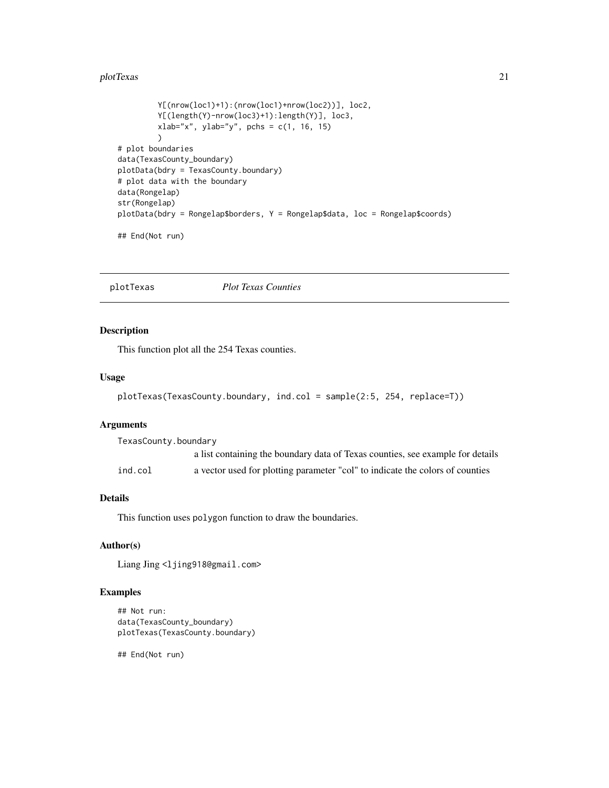#### <span id="page-20-0"></span>plotTexas 21

```
Y[(nrow(loc1)+1):(nrow(loc1)+nrow(loc2))], loc2,
         Y[(length(Y)-nrow(loc3)+1):length(Y)], loc3,
         xlab="x", ylab="y", pchs = c(1, 16, 15)\lambda# plot boundaries
data(TexasCounty_boundary)
plotData(bdry = TexasCounty.boundary)
# plot data with the boundary
data(Rongelap)
str(Rongelap)
plotData(bdry = Rongelap$borders, Y = Rongelap$data, loc = Rongelap$coords)
## End(Not run)
```
plotTexas *Plot Texas Counties*

#### Description

This function plot all the 254 Texas counties.

#### Usage

```
plotTexas(TexasCounty.boundary, ind.col = sample(2:5, 254, replace=T))
```
#### Arguments

TexasCounty.boundary a list containing the boundary data of Texas counties, see example for details ind.col a vector used for plotting parameter "col" to indicate the colors of counties

### Details

This function uses polygon function to draw the boundaries.

#### Author(s)

Liang Jing <ljing918@gmail.com>

#### Examples

```
## Not run:
data(TexasCounty_boundary)
plotTexas(TexasCounty.boundary)
```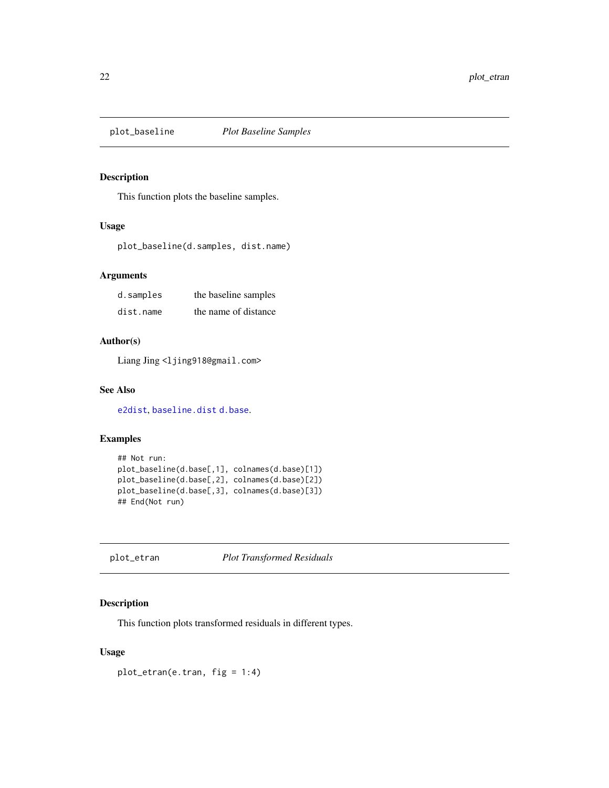<span id="page-21-1"></span><span id="page-21-0"></span>

This function plots the baseline samples.

#### Usage

plot\_baseline(d.samples, dist.name)

#### Arguments

| d.samples | the baseline samples |
|-----------|----------------------|
| dist.name | the name of distance |

#### Author(s)

Liang Jing <ljing918@gmail.com>

#### See Also

[e2dist](#page-6-2), [baseline.dist](#page-2-1) [d.base](#page-6-1).

# Examples

```
## Not run:
plot_baseline(d.base[,1], colnames(d.base)[1])
plot_baseline(d.base[,2], colnames(d.base)[2])
plot_baseline(d.base[,3], colnames(d.base)[3])
## End(Not run)
```
<span id="page-21-2"></span>plot\_etran *Plot Transformed Residuals*

#### Description

This function plots transformed residuals in different types.

#### Usage

plot\_etran(e.tran, fig = 1:4)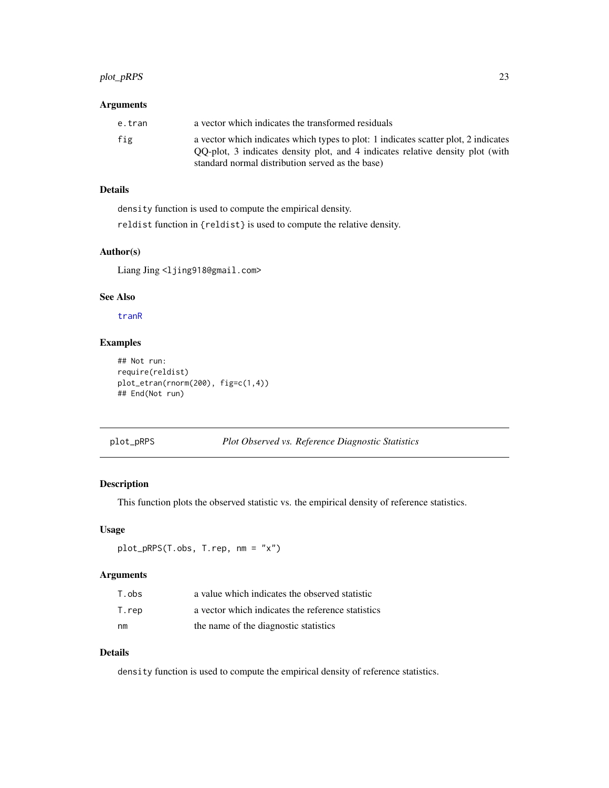# <span id="page-22-0"></span>plot\_pRPS 23

#### Arguments

| e.tran | a vector which indicates the transformed residuals                                                                                                                                                                        |
|--------|---------------------------------------------------------------------------------------------------------------------------------------------------------------------------------------------------------------------------|
| fig    | a vector which indicates which types to plot: 1 indicates scatter plot, 2 indicates<br>QQ-plot, 3 indicates density plot, and 4 indicates relative density plot (with<br>standard normal distribution served as the base) |

# Details

density function is used to compute the empirical density.

reldist function in {reldist} is used to compute the relative density.

# Author(s)

Liang Jing <ljing918@gmail.com>

#### See Also

[tranR](#page-45-1)

#### Examples

```
## Not run:
require(reldist)
plot_etran(rnorm(200), fig=c(1,4))
## End(Not run)
```
<span id="page-22-1"></span>plot\_pRPS *Plot Observed vs. Reference Diagnostic Statistics*

# Description

This function plots the observed statistic vs. the empirical density of reference statistics.

#### Usage

```
plot_pRPS(T.obs, T.rep, nm = "x")
```
#### Arguments

| T.obs | a value which indicates the observed statistic    |
|-------|---------------------------------------------------|
| T.rep | a vector which indicates the reference statistics |
| nm    | the name of the diagnostic statistics             |

# Details

density function is used to compute the empirical density of reference statistics.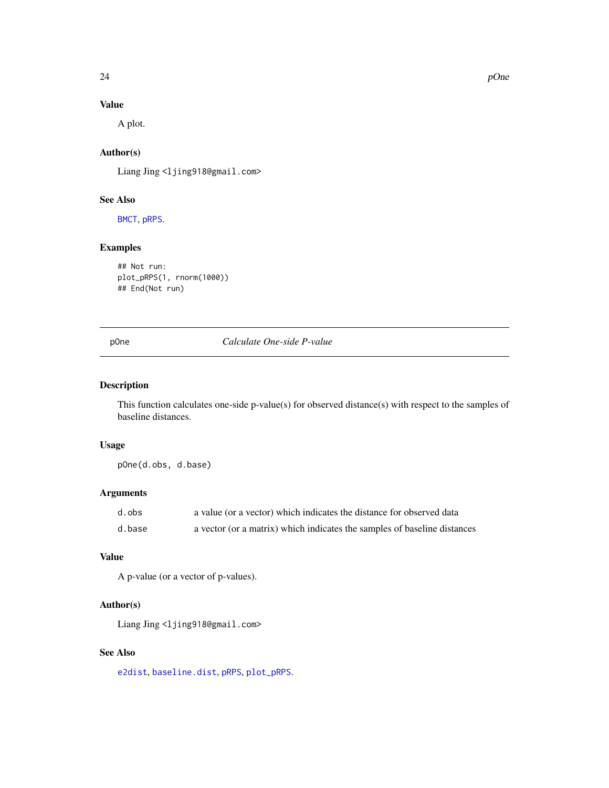# Value

A plot.

#### Author(s)

Liang Jing <ljing918@gmail.com>

#### See Also

[BMCT](#page-3-1), [pRPS](#page-25-1).

# Examples

```
## Not run:
plot_pRPS(1, rnorm(1000))
## End(Not run)
```
<span id="page-23-1"></span>pOne *Calculate One-side P-value*

# Description

This function calculates one-side p-value(s) for observed distance(s) with respect to the samples of baseline distances.

#### Usage

pOne(d.obs, d.base)

# Arguments

| d.obs  | a value (or a vector) which indicates the distance for observed data     |
|--------|--------------------------------------------------------------------------|
| d.base | a vector (or a matrix) which indicates the samples of baseline distances |

# Value

A p-value (or a vector of p-values).

#### Author(s)

Liang Jing <ljing918@gmail.com>

# See Also

[e2dist](#page-6-2), [baseline.dist](#page-2-1), [pRPS](#page-25-1), [plot\\_pRPS](#page-22-1).

<span id="page-23-0"></span>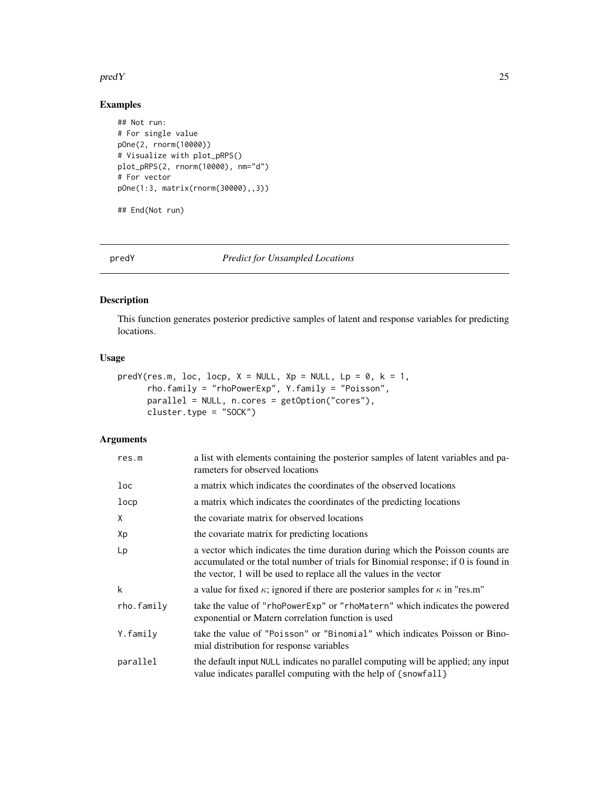#### <span id="page-24-0"></span> $\mathsf{pred}\,Y$  25

### Examples

```
## Not run:
# For single value
pOne(2, rnorm(10000))
# Visualize with plot_pRPS()
plot_pRPS(2, rnorm(10000), nm="d")
# For vector
pOne(1:3, matrix(rnorm(30000),,3))
## End(Not run)
```
predY *Predict for Unsampled Locations*

# Description

This function generates posterior predictive samples of latent and response variables for predicting locations.

#### Usage

```
predY(res.m, loc, locp, X = NULL, Xp = NULL, Lp = 0, k = 1,
      rho.family = "rhoPowerExp", Y.family = "Poisson",
      parallel = NULL, n.cores = getOption("cores"),
      cluster.type = "SOCK")
```
#### Arguments

| res.m      | a list with elements containing the posterior samples of latent variables and pa-<br>rameters for observed locations                                                                                                                      |  |
|------------|-------------------------------------------------------------------------------------------------------------------------------------------------------------------------------------------------------------------------------------------|--|
| loc        | a matrix which indicates the coordinates of the observed locations                                                                                                                                                                        |  |
| locp       | a matrix which indicates the coordinates of the predicting locations                                                                                                                                                                      |  |
| X          | the covariate matrix for observed locations                                                                                                                                                                                               |  |
| Хp         | the covariate matrix for predicting locations                                                                                                                                                                                             |  |
| Lp         | a vector which indicates the time duration during which the Poisson counts are<br>accumulated or the total number of trials for Binomial response; if 0 is found in<br>the vector, 1 will be used to replace all the values in the vector |  |
| k          | a value for fixed $\kappa$ ; ignored if there are posterior samples for $\kappa$ in "res.m"                                                                                                                                               |  |
| rho.family | take the value of "rhoPowerExp" or "rhoMatern" which indicates the powered<br>exponential or Matern correlation function is used                                                                                                          |  |
| Y.family   | take the value of "Poisson" or "Binomial" which indicates Poisson or Bino-<br>mial distribution for response variables                                                                                                                    |  |
| parallel   | the default input NULL indicates no parallel computing will be applied; any input<br>value indicates parallel computing with the help of {snowfall}                                                                                       |  |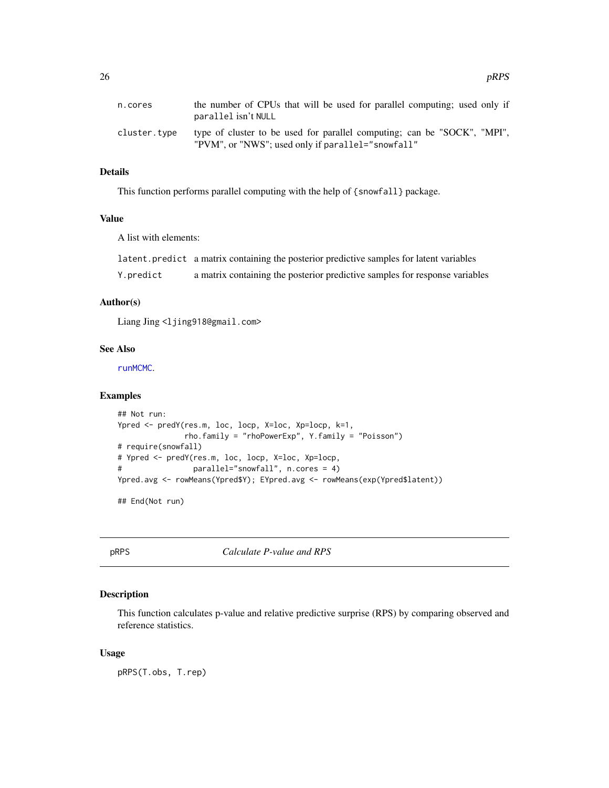<span id="page-25-0"></span>

| n.cores      | the number of CPUs that will be used for parallel computing; used only if<br>parallel isn't NULL                              |
|--------------|-------------------------------------------------------------------------------------------------------------------------------|
| cluster.tvpe | type of cluster to be used for parallel computing; can be "SOCK", "MPI",<br>"PVM", or "NWS"; used only if parallel="snowfall" |

# Details

This function performs parallel computing with the help of {snowfall} package.

# Value

A list with elements:

|           | latent.predict a matrix containing the posterior predictive samples for latent variables |
|-----------|------------------------------------------------------------------------------------------|
| Y.predict | a matrix containing the posterior predictive samples for response variables              |

# Author(s)

Liang Jing <ljing918@gmail.com>

#### See Also

[runMCMC](#page-34-1).

#### Examples

```
## Not run:
Ypred <- predY(res.m, loc, locp, X=loc, Xp=locp, k=1,
              rho.family = "rhoPowerExp", Y.family = "Poisson")
# require(snowfall)
# Ypred <- predY(res.m, loc, locp, X=loc, Xp=locp,
# parallel="snowfall", n.cores = 4)
Ypred.avg <- rowMeans(Ypred$Y); EYpred.avg <- rowMeans(exp(Ypred$latent))
## End(Not run)
```
<span id="page-25-1"></span>pRPS *Calculate P-value and RPS*

# Description

This function calculates p-value and relative predictive surprise (RPS) by comparing observed and reference statistics.

#### Usage

pRPS(T.obs, T.rep)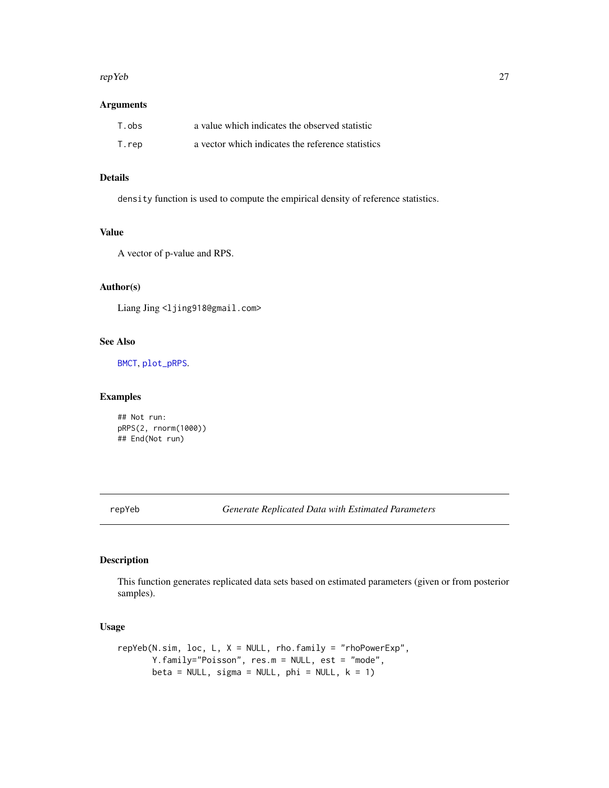#### <span id="page-26-0"></span>repYeb 27

#### Arguments

| T.obs | a value which indicates the observed statistic    |
|-------|---------------------------------------------------|
| T.rep | a vector which indicates the reference statistics |

# Details

density function is used to compute the empirical density of reference statistics.

#### Value

A vector of p-value and RPS.

# Author(s)

Liang Jing <ljing918@gmail.com>

#### See Also

[BMCT](#page-3-1), [plot\\_pRPS](#page-22-1).

# Examples

## Not run: pRPS(2, rnorm(1000)) ## End(Not run)

<span id="page-26-1"></span>repYeb *Generate Replicated Data with Estimated Parameters*

#### Description

This function generates replicated data sets based on estimated parameters (given or from posterior samples).

#### Usage

```
repYeb(N.sim, loc, L, X = NULL, rho.family = "rhoPowerExp",Y.family="Poisson", res.m = NULL, est = "mode",
      beta = NULL, sigma = NULL, phi = NULL, k = 1)
```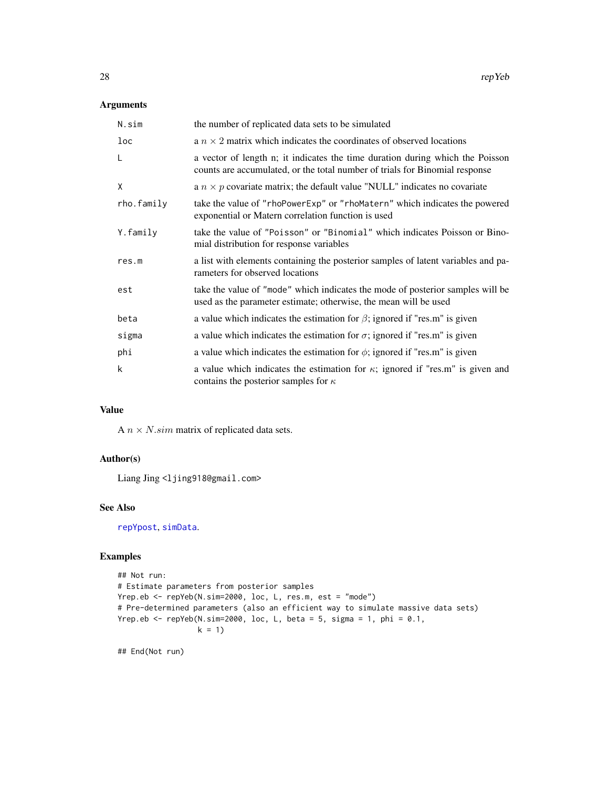#### <span id="page-27-0"></span>Arguments

| N.sim      | the number of replicated data sets to be simulated                                                                                                           |
|------------|--------------------------------------------------------------------------------------------------------------------------------------------------------------|
| loc        | a $n \times 2$ matrix which indicates the coordinates of observed locations                                                                                  |
| L          | a vector of length n; it indicates the time duration during which the Poisson<br>counts are accumulated, or the total number of trials for Binomial response |
| X          | a $n \times p$ covariate matrix; the default value "NULL" indicates no covariate                                                                             |
| rho.family | take the value of "rhoPowerExp" or "rhoMatern" which indicates the powered<br>exponential or Matern correlation function is used                             |
| Y.family   | take the value of "Poisson" or "Binomial" which indicates Poisson or Bino-<br>mial distribution for response variables                                       |
| res.m      | a list with elements containing the posterior samples of latent variables and pa-<br>rameters for observed locations                                         |
| est        | take the value of "mode" which indicates the mode of posterior samples will be<br>used as the parameter estimate; otherwise, the mean will be used           |
| beta       | a value which indicates the estimation for $\beta$ ; ignored if "res.m" is given                                                                             |
| sigma      | a value which indicates the estimation for $\sigma$ ; ignored if "res.m" is given                                                                            |
| phi        | a value which indicates the estimation for $\phi$ ; ignored if "res.m" is given                                                                              |
| k          | a value which indicates the estimation for $\kappa$ ; ignored if "res.m" is given and<br>contains the posterior samples for $\kappa$                         |

# Value

A  $n \times N$ .sim matrix of replicated data sets.

#### Author(s)

Liang Jing <ljing918@gmail.com>

# See Also

[repYpost](#page-28-1), [simData](#page-41-1).

#### Examples

```
## Not run:
# Estimate parameters from posterior samples
Yrep.eb <- repYeb(N.sim=2000, loc, L, res.m, est = "mode")
# Pre-determined parameters (also an efficient way to simulate massive data sets)
Yrep.eb <- repYeb(N.sim=2000, loc, L, beta = 5, sigma = 1, phi = 0.1,
                 k = 1
```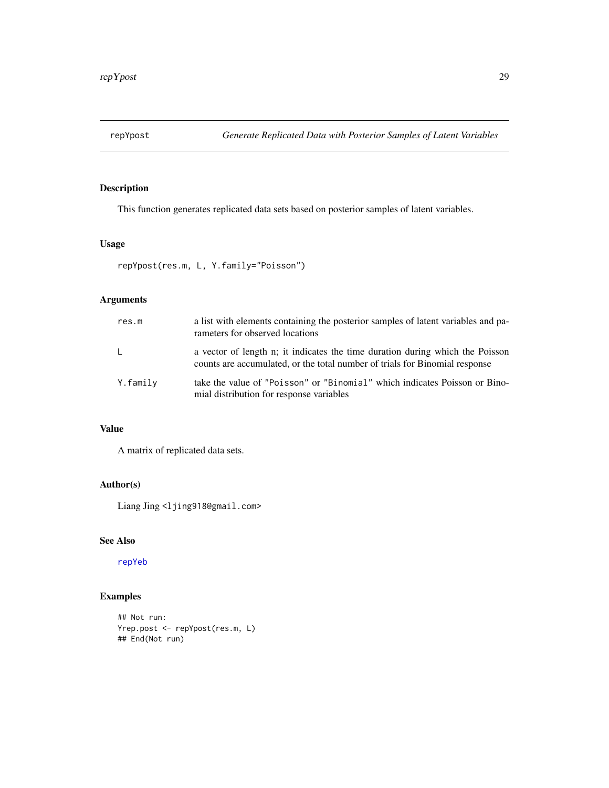<span id="page-28-1"></span><span id="page-28-0"></span>

This function generates replicated data sets based on posterior samples of latent variables.

#### Usage

```
repYpost(res.m, L, Y.family="Poisson")
```
# Arguments

| res.m        | a list with elements containing the posterior samples of latent variables and pa-<br>rameters for observed locations                                         |
|--------------|--------------------------------------------------------------------------------------------------------------------------------------------------------------|
| $\mathsf{L}$ | a vector of length n; it indicates the time duration during which the Poisson<br>counts are accumulated, or the total number of trials for Binomial response |
| Y.family     | take the value of "Poisson" or "Binomial" which indicates Poisson or Bino-<br>mial distribution for response variables                                       |

# Value

A matrix of replicated data sets.

#### Author(s)

Liang Jing <ljing918@gmail.com>

#### See Also

[repYeb](#page-26-1)

```
## Not run:
Yrep.post <- repYpost(res.m, L)
## End(Not run)
```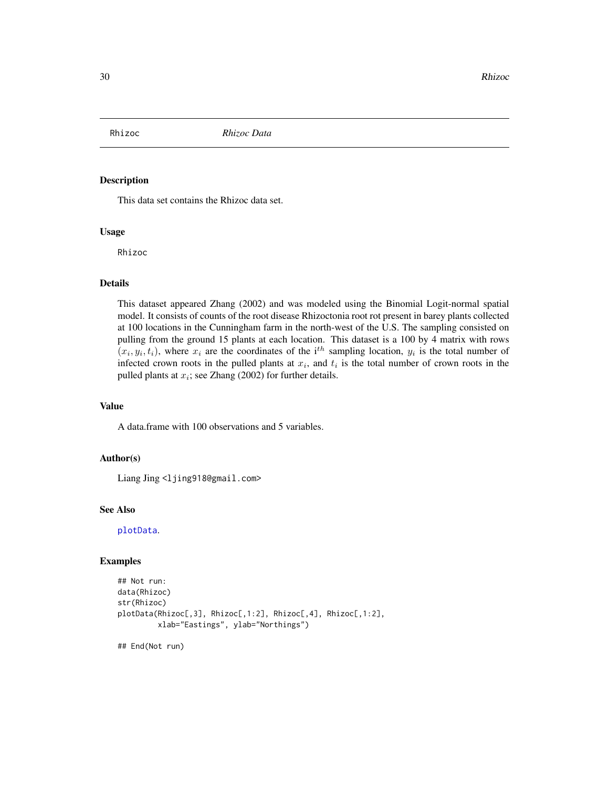<span id="page-29-0"></span>

This data set contains the Rhizoc data set.

#### Usage

Rhizoc

#### Details

This dataset appeared Zhang (2002) and was modeled using the Binomial Logit-normal spatial model. It consists of counts of the root disease Rhizoctonia root rot present in barey plants collected at 100 locations in the Cunningham farm in the north-west of the U.S. The sampling consisted on pulling from the ground 15 plants at each location. This dataset is a 100 by 4 matrix with rows  $(x_i, y_i, t_i)$ , where  $x_i$  are the coordinates of the i<sup>th</sup> sampling location,  $y_i$  is the total number of infected crown roots in the pulled plants at  $x_i$ , and  $t_i$  is the total number of crown roots in the pulled plants at  $x_i$ ; see Zhang (2002) for further details.

#### Value

A data.frame with 100 observations and 5 variables.

#### Author(s)

Liang Jing <ljing918@gmail.com>

#### See Also

[plotData](#page-19-1).

#### Examples

```
## Not run:
data(Rhizoc)
str(Rhizoc)
plotData(Rhizoc[,3], Rhizoc[,1:2], Rhizoc[,4], Rhizoc[,1:2],
         xlab="Eastings", ylab="Northings")
```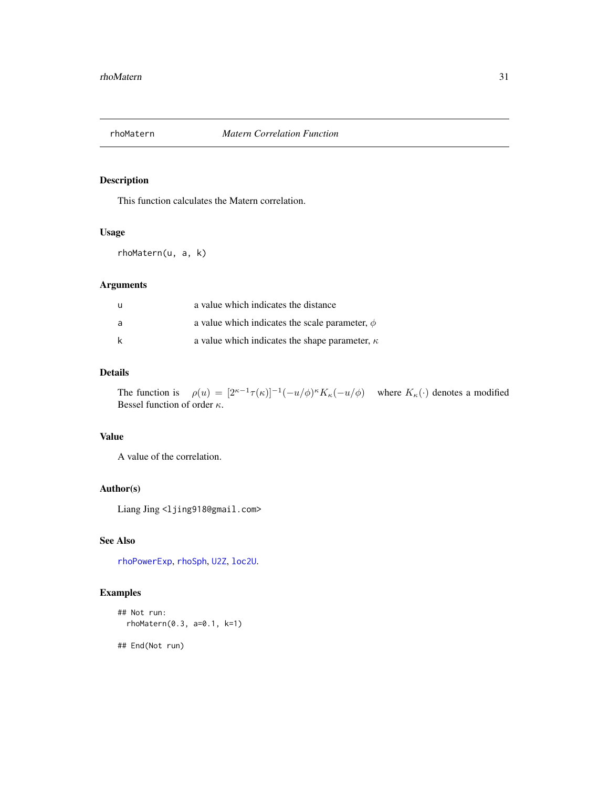<span id="page-30-1"></span><span id="page-30-0"></span>

This function calculates the Matern correlation.

#### Usage

rhoMatern(u, a, k)

# Arguments

| -u | a value which indicates the distance                  |
|----|-------------------------------------------------------|
| a  | a value which indicates the scale parameter, $\phi$   |
| k  | a value which indicates the shape parameter, $\kappa$ |

# Details

The function is  $\rho(u) = [2^{\kappa-1}\tau(\kappa)]^{-1}(-u/\phi)^{\kappa}K_{\kappa}(-u/\phi)$  where  $K_{\kappa}(\cdot)$  denotes a modified Bessel function of order  $\kappa$ .

#### Value

A value of the correlation.

# Author(s)

Liang Jing <ljing918@gmail.com>

# See Also

[rhoPowerExp](#page-31-1), [rhoSph](#page-32-1), [U2Z](#page-46-1), [loc2U](#page-9-1).

#### Examples

```
## Not run:
 rhoMatern(0.3, a=0.1, k=1)
```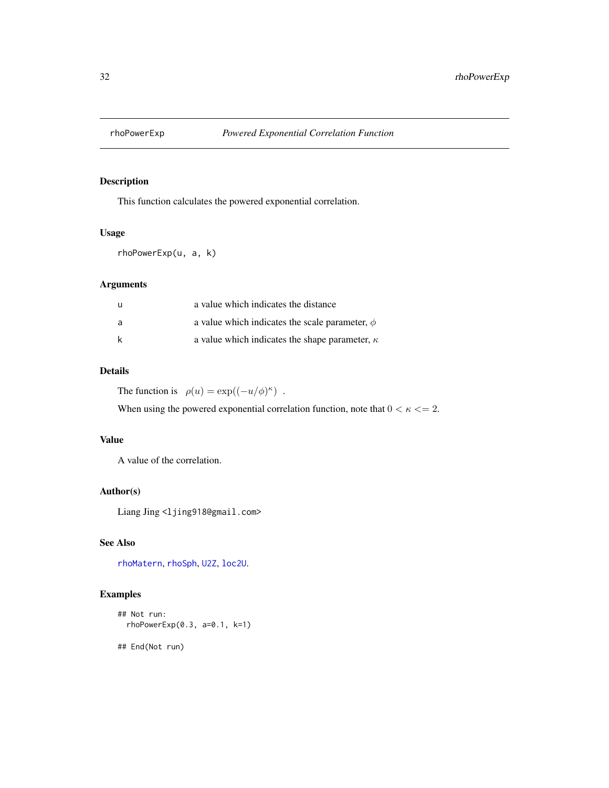<span id="page-31-1"></span><span id="page-31-0"></span>

This function calculates the powered exponential correlation.

#### Usage

rhoPowerExp(u, a, k)

# Arguments

| <b>u</b> | a value which indicates the distance                  |
|----------|-------------------------------------------------------|
| a        | a value which indicates the scale parameter, $\phi$   |
| k        | a value which indicates the shape parameter, $\kappa$ |

#### Details

The function is  $\rho(u) = \exp((-u/\phi)^{\kappa})$ .

When using the powered exponential correlation function, note that  $0 < \kappa \leq 2$ .

# Value

A value of the correlation.

# Author(s)

Liang Jing <ljing918@gmail.com>

# See Also

[rhoMatern](#page-30-1), [rhoSph](#page-32-1), [U2Z](#page-46-1), [loc2U](#page-9-1).

#### Examples

```
## Not run:
 rhoPowerExp(0.3, a=0.1, k=1)
```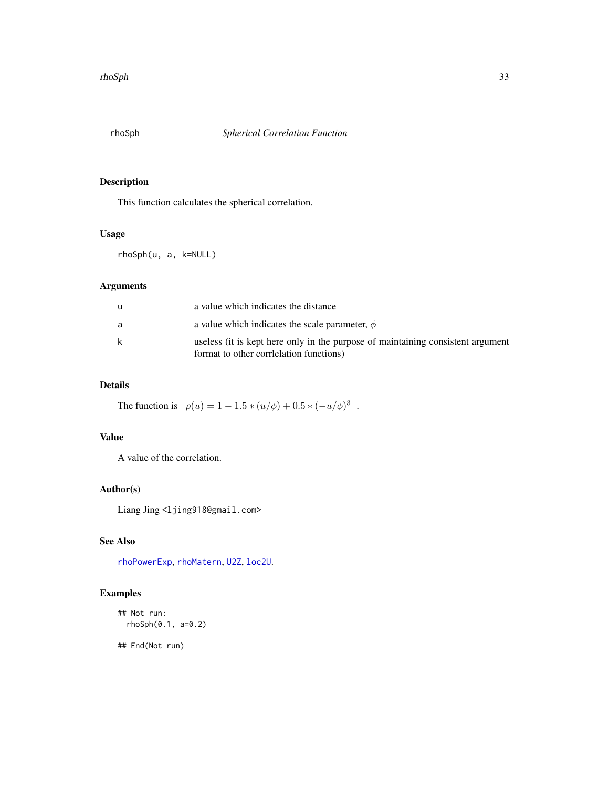<span id="page-32-1"></span><span id="page-32-0"></span>

This function calculates the spherical correlation.

#### Usage

rhoSph(u, a, k=NULL)

# Arguments

| u | a value which indicates the distance                                                                                      |
|---|---------------------------------------------------------------------------------------------------------------------------|
| a | a value which indicates the scale parameter, $\phi$                                                                       |
| k | useless (it is kept here only in the purpose of maintaining consistent argument<br>format to other corrilation functions) |

# Details

The function is  $\rho(u) = 1 - 1.5 * (u/\phi) + 0.5 * (-u/\phi)^3$ .

#### Value

A value of the correlation.

# Author(s)

Liang Jing <ljing918@gmail.com>

# See Also

[rhoPowerExp](#page-31-1), [rhoMatern](#page-30-1), [U2Z](#page-46-1), [loc2U](#page-9-1).

# Examples

```
## Not run:
 rhoSph(0.1, a=0.2)
```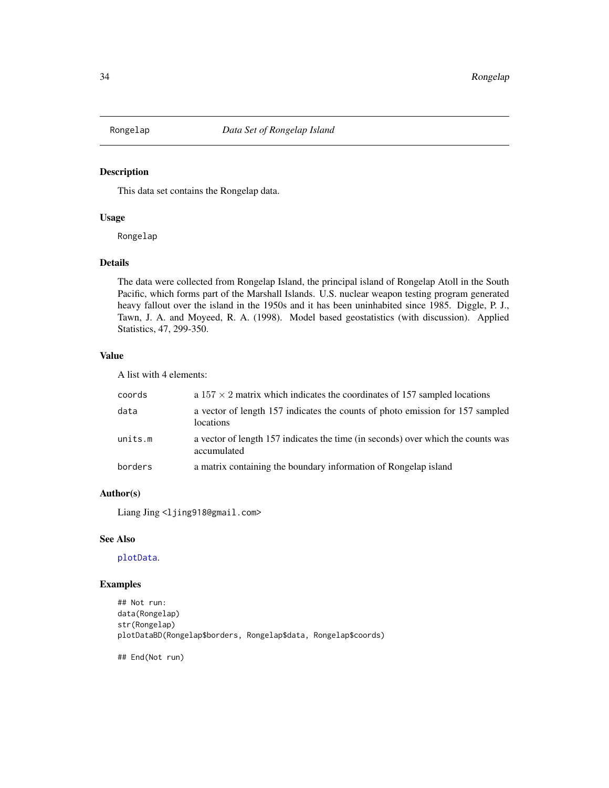<span id="page-33-0"></span>

This data set contains the Rongelap data.

#### Usage

Rongelap

#### Details

The data were collected from Rongelap Island, the principal island of Rongelap Atoll in the South Pacific, which forms part of the Marshall Islands. U.S. nuclear weapon testing program generated heavy fallout over the island in the 1950s and it has been uninhabited since 1985. Diggle, P. J., Tawn, J. A. and Moyeed, R. A. (1998). Model based geostatistics (with discussion). Applied Statistics, 47, 299-350.

# Value

A list with 4 elements:

| coords  | a $157 \times 2$ matrix which indicates the coordinates of 157 sampled locations                |
|---------|-------------------------------------------------------------------------------------------------|
| data    | a vector of length 157 indicates the counts of photo emission for 157 sampled<br>locations      |
| units.m | a vector of length 157 indicates the time (in seconds) over which the counts was<br>accumulated |
| borders | a matrix containing the boundary information of Rongelap island                                 |

# Author(s)

Liang Jing <ljing918@gmail.com>

#### See Also

[plotData](#page-19-1).

# Examples

```
## Not run:
data(Rongelap)
str(Rongelap)
plotDataBD(Rongelap$borders, Rongelap$data, Rongelap$coords)
```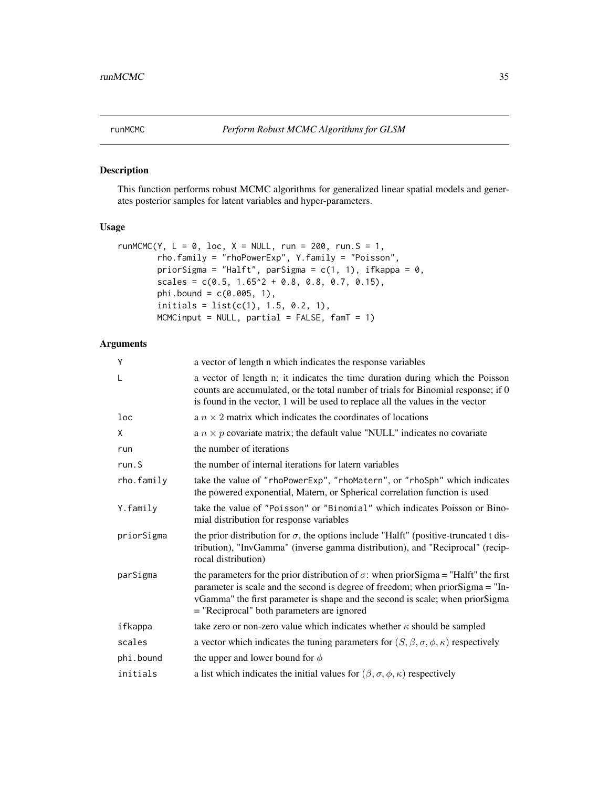<span id="page-34-1"></span><span id="page-34-0"></span>

This function performs robust MCMC algorithms for generalized linear spatial models and generates posterior samples for latent variables and hyper-parameters.

#### Usage

```
runMCMC(Y, L = 0, loc, X = NULL, run = 200, run.S = 1,
       rho.family = "rhoPowerExp", Y.family = "Poisson",
       priorSigma = "Halft", parSigma = c(1, 1), ifkappa = 0,
       scales = c(0.5, 1.65^2 + 0.8, 0.8, 0.7, 0.15),phi.bound = c(0.005, 1),
       initials = list(c(1), 1.5, 0.2, 1),MCMCinput = NULL, partial = FALSE, famT = 1)
```
# Arguments

| Υ          | a vector of length n which indicates the response variables                                                                                                                                                                                                                                                   |
|------------|---------------------------------------------------------------------------------------------------------------------------------------------------------------------------------------------------------------------------------------------------------------------------------------------------------------|
| L          | a vector of length n; it indicates the time duration during which the Poisson<br>counts are accumulated, or the total number of trials for Binomial response; if 0<br>is found in the vector, 1 will be used to replace all the values in the vector                                                          |
| loc        | a $n \times 2$ matrix which indicates the coordinates of locations                                                                                                                                                                                                                                            |
| χ          | a $n \times p$ covariate matrix; the default value "NULL" indicates no covariate                                                                                                                                                                                                                              |
| run        | the number of iterations                                                                                                                                                                                                                                                                                      |
| run.S      | the number of internal iterations for latern variables                                                                                                                                                                                                                                                        |
| rho.family | take the value of "rhoPowerExp", "rhoMatern", or "rhoSph" which indicates<br>the powered exponential, Matern, or Spherical correlation function is used                                                                                                                                                       |
| Y.family   | take the value of "Poisson" or "Binomial" which indicates Poisson or Bino-<br>mial distribution for response variables                                                                                                                                                                                        |
| priorSigma | the prior distribution for $\sigma$ , the options include "Halft" (positive-truncated t dis-<br>tribution), "InvGamma" (inverse gamma distribution), and "Reciprocal" (recip-<br>rocal distribution)                                                                                                          |
| parSigma   | the parameters for the prior distribution of $\sigma$ : when prior Sigma = "Halft" the first<br>parameter is scale and the second is degree of freedom; when priorSigma = "In-<br>vGamma" the first parameter is shape and the second is scale; when priorSigma<br>= "Reciprocal" both parameters are ignored |
| ifkappa    | take zero or non-zero value which indicates whether $\kappa$ should be sampled                                                                                                                                                                                                                                |
| scales     | a vector which indicates the tuning parameters for $(S, \beta, \sigma, \phi, \kappa)$ respectively                                                                                                                                                                                                            |
| phi.bound  | the upper and lower bound for $\phi$                                                                                                                                                                                                                                                                          |
| initials   | a list which indicates the initial values for $(\beta, \sigma, \phi, \kappa)$ respectively                                                                                                                                                                                                                    |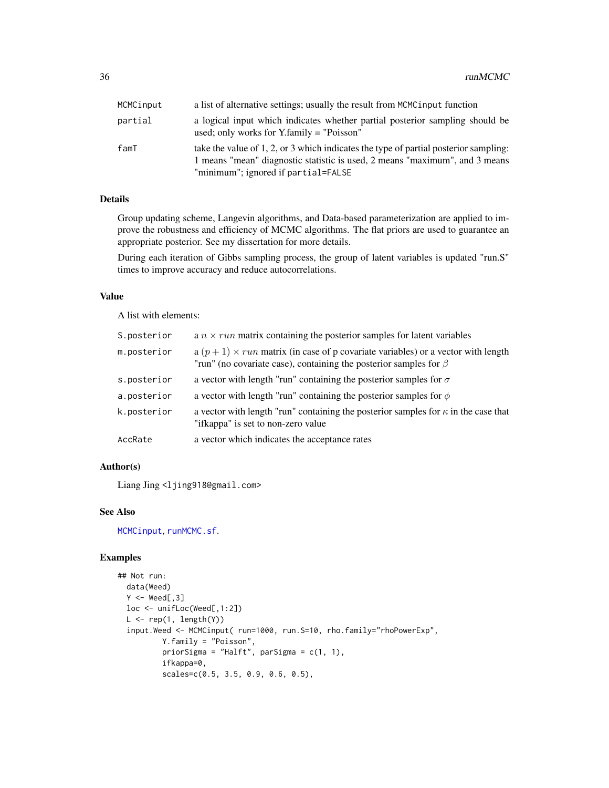<span id="page-35-0"></span>

| MCMCinput | a list of alternative settings; usually the result from MCMC input function                                                                                                                                |
|-----------|------------------------------------------------------------------------------------------------------------------------------------------------------------------------------------------------------------|
| partial   | a logical input which indicates whether partial posterior sampling should be<br>used; only works for $Y$ -family = "Poisson"                                                                               |
| famT      | take the value of 1, 2, or 3 which indicates the type of partial posterior sampling:<br>1 means "mean" diagnostic statistic is used, 2 means "maximum", and 3 means<br>"minimum"; ignored if partial=FALSE |

# Details

Group updating scheme, Langevin algorithms, and Data-based parameterization are applied to improve the robustness and efficiency of MCMC algorithms. The flat priors are used to guarantee an appropriate posterior. See my dissertation for more details.

During each iteration of Gibbs sampling process, the group of latent variables is updated "run.S" times to improve accuracy and reduce autocorrelations.

#### Value

A list with elements:

| S.posterior | a $n \times run$ matrix containing the posterior samples for latent variables                                                                                       |
|-------------|---------------------------------------------------------------------------------------------------------------------------------------------------------------------|
| m.posterior | $a (p + 1) \times run$ matrix (in case of p covariate variables) or a vector with length<br>"run" (no covariate case), containing the posterior samples for $\beta$ |
| s.posterior | a vector with length "run" containing the posterior samples for $\sigma$                                                                                            |
| a.posterior | a vector with length "run" containing the posterior samples for $\phi$                                                                                              |
| k.posterior | a vector with length "run" containing the posterior samples for $\kappa$ in the case that<br>"ifkappa" is set to non-zero value                                     |
| AccRate     | a vector which indicates the acceptance rates                                                                                                                       |

# Author(s)

Liang Jing <ljing918@gmail.com>

#### See Also

[MCMCinput](#page-16-1), [runMCMC.sf](#page-36-1).

```
## Not run:
 data(Weed)
 Y < - Weed[,3]
 loc <- unifLoc(Weed[,1:2])
 L \leftarrow rep(1, length(Y))input.Weed <- MCMCinput( run=1000, run.S=10, rho.family="rhoPowerExp",
          Y.family = "Poisson",
          priorSigma = "Halft", parSigma = c(1, 1),
          ifkappa=0,
          scales=c(0.5, 3.5, 0.9, 0.6, 0.5),
```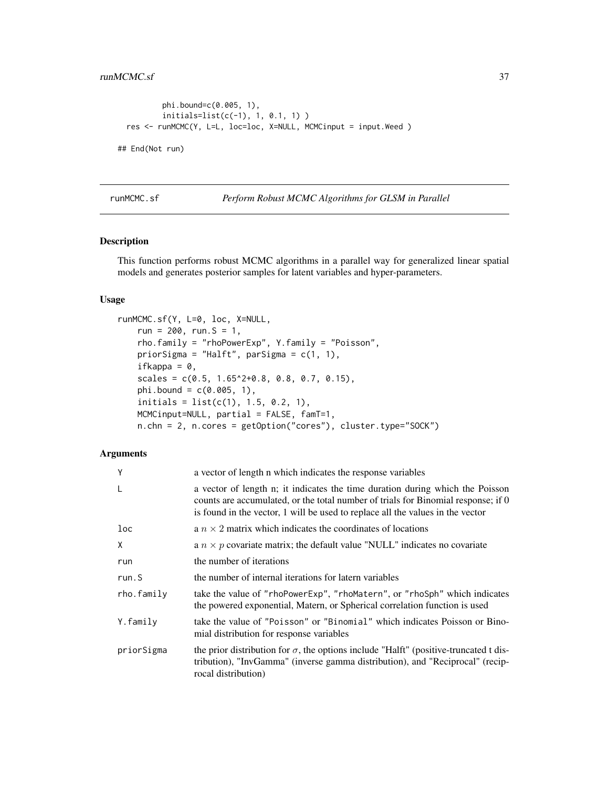```
phi.bound=c(0.005, 1),
          initials=list(c(-1), 1, 0.1, 1) )
 res <- runMCMC(Y, L=L, loc=loc, X=NULL, MCMCinput = input.Weed )
## End(Not run)
```
<span id="page-36-1"></span>runMCMC.sf *Perform Robust MCMC Algorithms for GLSM in Parallel*

#### Description

This function performs robust MCMC algorithms in a parallel way for generalized linear spatial models and generates posterior samples for latent variables and hyper-parameters.

#### Usage

```
runMCMC.sf(Y, L=0, loc, X=NULL,
   run = 200, run. S = 1,
   rho.family = "rhoPowerExp", Y.family = "Poisson",
   priorSigma = "Halft", parSigma = c(1, 1),
   ifkappa = 0,
   scales = c(0.5, 1.65^2+0.8, 0.8, 0.7, 0.15),phi. bound = c(0.005, 1),initials = list(c(1), 1.5, 0.2, 1),MCMCinput=NULL, partial = FALSE, famT=1,
   n.chn = 2, n.cores = getOption("cores"), cluster.type="SOCK")
```
#### Arguments

| Y          | a vector of length n which indicates the response variables                                                                                                                                                                                          |
|------------|------------------------------------------------------------------------------------------------------------------------------------------------------------------------------------------------------------------------------------------------------|
| L          | a vector of length n; it indicates the time duration during which the Poisson<br>counts are accumulated, or the total number of trials for Binomial response; if 0<br>is found in the vector, 1 will be used to replace all the values in the vector |
| loc        | a $n \times 2$ matrix which indicates the coordinates of locations                                                                                                                                                                                   |
| X          | a $n \times p$ covariate matrix; the default value "NULL" indicates no covariate                                                                                                                                                                     |
| run        | the number of iterations                                                                                                                                                                                                                             |
| run.S      | the number of internal iterations for latern variables                                                                                                                                                                                               |
| rho.family | take the value of "rhoPowerExp", "rhoMatern", or "rhoSph" which indicates<br>the powered exponential, Matern, or Spherical correlation function is used                                                                                              |
| Y.family   | take the value of "Poisson" or "Binomial" which indicates Poisson or Bino-<br>mial distribution for response variables                                                                                                                               |
| priorSigma | the prior distribution for $\sigma$ , the options include "Halft" (positive-truncated t dis-<br>tribution), "InvGamma" (inverse gamma distribution), and "Reciprocal" (recip-<br>rocal distribution)                                                 |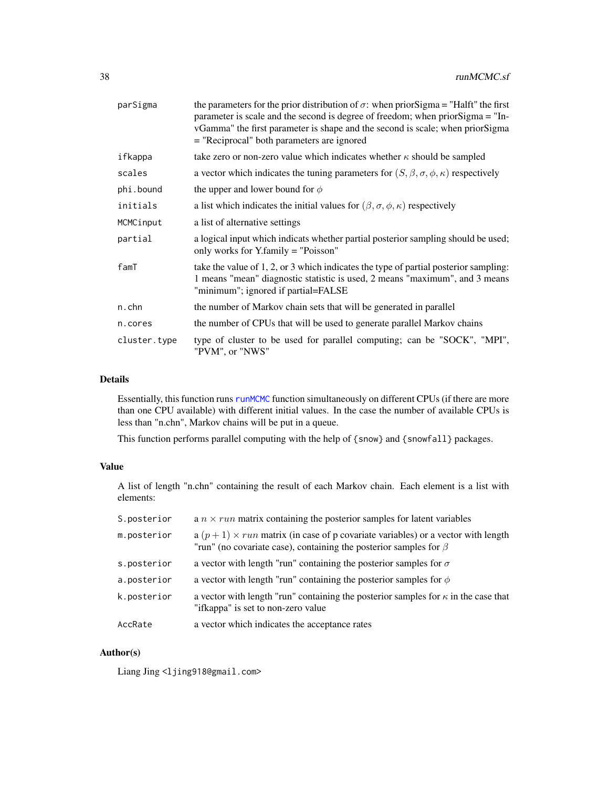<span id="page-37-0"></span>

| parSigma     | the parameters for the prior distribution of $\sigma$ : when prior Sigma = "Halft" the first<br>parameter is scale and the second is degree of freedom; when priorSigma = "In-<br>vGamma" the first parameter is shape and the second is scale; when priorSigma<br>= "Reciprocal" both parameters are ignored |
|--------------|---------------------------------------------------------------------------------------------------------------------------------------------------------------------------------------------------------------------------------------------------------------------------------------------------------------|
| ifkappa      | take zero or non-zero value which indicates whether $\kappa$ should be sampled                                                                                                                                                                                                                                |
| scales       | a vector which indicates the tuning parameters for $(S, \beta, \sigma, \phi, \kappa)$ respectively                                                                                                                                                                                                            |
| phi.bound    | the upper and lower bound for $\phi$                                                                                                                                                                                                                                                                          |
| initials     | a list which indicates the initial values for $(\beta, \sigma, \phi, \kappa)$ respectively                                                                                                                                                                                                                    |
| MCMCinput    | a list of alternative settings                                                                                                                                                                                                                                                                                |
| partial      | a logical input which indicats whether partial posterior sampling should be used;<br>only works for Y.family = "Poisson"                                                                                                                                                                                      |
| famT         | take the value of 1, 2, or 3 which indicates the type of partial posterior sampling:<br>1 means "mean" diagnostic statistic is used, 2 means "maximum", and 3 means<br>"minimum"; ignored if partial=FALSE                                                                                                    |
| n.chn        | the number of Markov chain sets that will be generated in parallel                                                                                                                                                                                                                                            |
| n.cores      | the number of CPUs that will be used to generate parallel Markov chains                                                                                                                                                                                                                                       |
| cluster.type | type of cluster to be used for parallel computing; can be "SOCK", "MPI",<br>"PVM", or "NWS"                                                                                                                                                                                                                   |

# Details

Essentially, this function runs [runMCMC](#page-34-1) function simultaneously on different CPUs (if there are more than one CPU available) with different initial values. In the case the number of available CPUs is less than "n.chn", Markov chains will be put in a queue.

This function performs parallel computing with the help of {snow} and {snowfall} packages.

# Value

A list of length "n.chn" containing the result of each Markov chain. Each element is a list with elements:

| S.posterior | a $n \times run$ matrix containing the posterior samples for latent variables                                                                                       |
|-------------|---------------------------------------------------------------------------------------------------------------------------------------------------------------------|
| m.posterior | $a (p + 1) \times run$ matrix (in case of p covariate variables) or a vector with length<br>"run" (no covariate case), containing the posterior samples for $\beta$ |
| s.posterior | a vector with length "run" containing the posterior samples for $\sigma$                                                                                            |
| a.posterior | a vector with length "run" containing the posterior samples for $\phi$                                                                                              |
| k.posterior | a vector with length "run" containing the posterior samples for $\kappa$ in the case that<br>"ifkappa" is set to non-zero value                                     |
| AccRate     | a vector which indicates the acceptance rates                                                                                                                       |

#### Author(s)

Liang Jing <ljing918@gmail.com>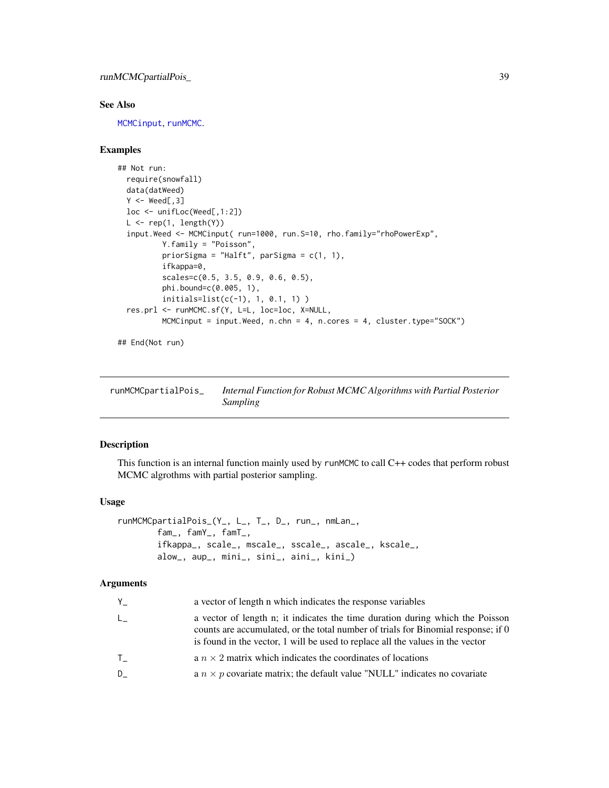<span id="page-38-0"></span>runMCMCpartialPois\_ 39

#### See Also

[MCMCinput](#page-16-1), [runMCMC](#page-34-1).

#### Examples

```
## Not run:
 require(snowfall)
 data(datWeed)
 Y < - Weed[,3]
 loc <- unifLoc(Weed[,1:2])
 L \leftarrow rep(1, length(Y))input.Weed <- MCMCinput( run=1000, run.S=10, rho.family="rhoPowerExp",
          Y.family = "Poisson",
          priorSigma = "Halft", parSigma = c(1, 1),
          ifkappa=0,
          scales=c(0.5, 3.5, 0.9, 0.6, 0.5),
          phi.bound=c(0.005, 1),
          initials=list(c(-1), 1, 0.1, 1) )
 res.prl <- runMCMC.sf(Y, L=L, loc=loc, X=NULL,
          MCMCinput = input.Weed, n.chn = 4, n.cores = 4, cluster.type="SOCK")
```
## End(Not run)

runMCMCpartialPois\_ *Internal Function for Robust MCMC Algorithms with Partial Posterior Sampling*

#### Description

This function is an internal function mainly used by runMCMC to call C++ codes that perform robust MCMC algrothms with partial posterior sampling.

#### Usage

```
runMCMCpartialPois_(Y_, L_, T_, D_, run_, nmLan_,
       fam_, famY_, famT_,
       ifkappa_, scale_, mscale_, sscale_, ascale_, kscale_,
       alow_, aup_, mini_, sini_, aini_, kini_)
```
#### Arguments

| Y.           | a vector of length n which indicates the response variables                                                                                                                                                                                          |
|--------------|------------------------------------------------------------------------------------------------------------------------------------------------------------------------------------------------------------------------------------------------------|
| $L_{-}$      | a vector of length n; it indicates the time duration during which the Poisson<br>counts are accumulated, or the total number of trials for Binomial response; if 0<br>is found in the vector, 1 will be used to replace all the values in the vector |
| $\mathsf{T}$ | a $n \times 2$ matrix which indicates the coordinates of locations                                                                                                                                                                                   |
| D            | a $n \times p$ covariate matrix; the default value "NULL" indicates no covariate                                                                                                                                                                     |
|              |                                                                                                                                                                                                                                                      |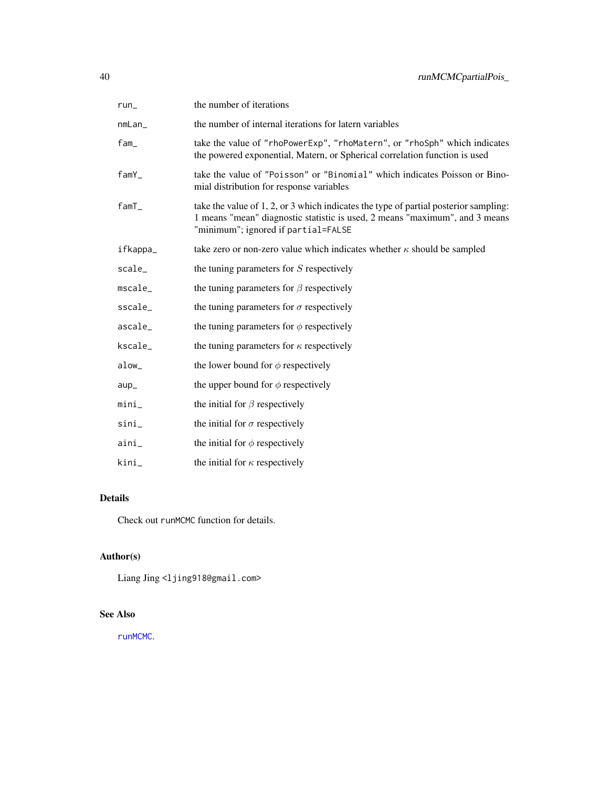<span id="page-39-0"></span>

| $run_$                             | the number of iterations                                                                                                                                                                                   |
|------------------------------------|------------------------------------------------------------------------------------------------------------------------------------------------------------------------------------------------------------|
| nmLan_                             | the number of internal iterations for latern variables                                                                                                                                                     |
| fam_                               | take the value of "rhoPowerExp", "rhoMatern", or "rhoSph" which indicates<br>the powered exponential, Matern, or Spherical correlation function is used                                                    |
| famY_                              | take the value of "Poisson" or "Binomial" which indicates Poisson or Bino-<br>mial distribution for response variables                                                                                     |
| famT_                              | take the value of 1, 2, or 3 which indicates the type of partial posterior sampling:<br>1 means "mean" diagnostic statistic is used, 2 means "maximum", and 3 means<br>"minimum"; ignored if partial=FALSE |
| ifkappa_                           | take zero or non-zero value which indicates whether $\kappa$ should be sampled                                                                                                                             |
| scale                              | the tuning parameters for $S$ respectively                                                                                                                                                                 |
| <code>mscale<math>\_</math></code> | the tuning parameters for $\beta$ respectively                                                                                                                                                             |
| $\textsf{sscale}\_\textsf{}$       | the tuning parameters for $\sigma$ respectively                                                                                                                                                            |
| ascale_                            | the tuning parameters for $\phi$ respectively                                                                                                                                                              |
| kscale_                            | the tuning parameters for $\kappa$ respectively                                                                                                                                                            |
| alow_                              | the lower bound for $\phi$ respectively                                                                                                                                                                    |
| $aup_$                             | the upper bound for $\phi$ respectively                                                                                                                                                                    |
| mini_                              | the initial for $\beta$ respectively                                                                                                                                                                       |
| sini_                              | the initial for $\sigma$ respectively                                                                                                                                                                      |
| aini_                              | the initial for $\phi$ respectively                                                                                                                                                                        |
| kini_                              | the initial for $\kappa$ respectively                                                                                                                                                                      |

# Details

Check out runMCMC function for details.

# Author(s)

Liang Jing <ljing918@gmail.com>

# See Also

[runMCMC](#page-34-1).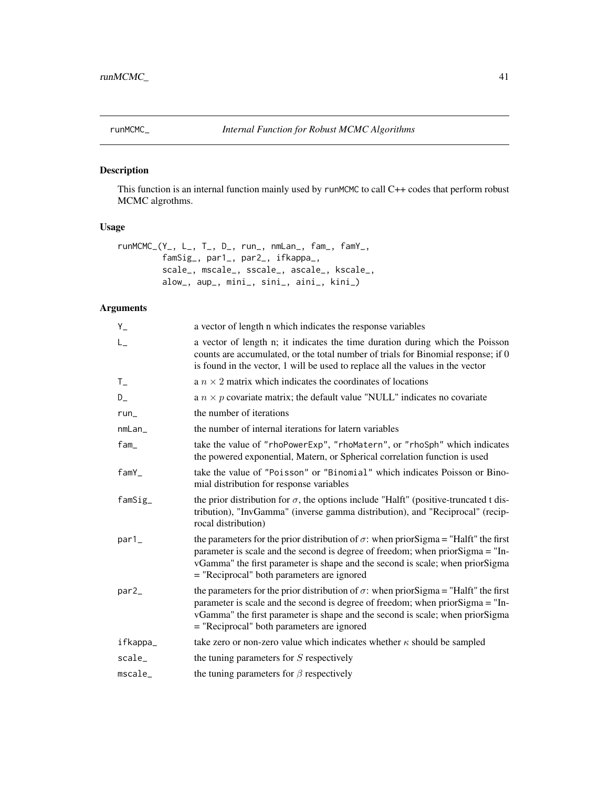<span id="page-40-0"></span>

This function is an internal function mainly used by runMCMC to call C++ codes that perform robust MCMC algrothms.

# Usage

```
runMCMC_(Y_, L_, T_, D_, run_, nmLan_, fam_, famY_,
         famSig_, par1_, par2_, ifkappa_,
        scale_, mscale_, sscale_, ascale_, kscale_,
        alow_, aup_, mini_, sini_, aini_, kini_)
```
# Arguments

| $Y_{-}$                            | a vector of length n which indicates the response variables                                                                                                                                                                                                                                                   |
|------------------------------------|---------------------------------------------------------------------------------------------------------------------------------------------------------------------------------------------------------------------------------------------------------------------------------------------------------------|
| $L_{-}$                            | a vector of length n; it indicates the time duration during which the Poisson<br>counts are accumulated, or the total number of trials for Binomial response; if 0<br>is found in the vector, 1 will be used to replace all the values in the vector                                                          |
| $T_{-}$                            | a $n \times 2$ matrix which indicates the coordinates of locations                                                                                                                                                                                                                                            |
| D_                                 | a $n \times p$ covariate matrix; the default value "NULL" indicates no covariate                                                                                                                                                                                                                              |
| $run_$                             | the number of iterations                                                                                                                                                                                                                                                                                      |
| nmLan                              | the number of internal iterations for latern variables                                                                                                                                                                                                                                                        |
| fam                                | take the value of "rhoPowerExp", "rhoMatern", or "rhoSph" which indicates<br>the powered exponential, Matern, or Spherical correlation function is used                                                                                                                                                       |
| famY                               | take the value of "Poisson" or "Binomial" which indicates Poisson or Bino-<br>mial distribution for response variables                                                                                                                                                                                        |
| $famsig_$                          | the prior distribution for $\sigma$ , the options include "Halft" (positive-truncated t dis-<br>tribution), "InvGamma" (inverse gamma distribution), and "Reciprocal" (recip-<br>rocal distribution)                                                                                                          |
| par1_                              | the parameters for the prior distribution of $\sigma$ : when prior Sigma = "Halft" the first<br>parameter is scale and the second is degree of freedom; when priorSigma = "In-<br>vGamma" the first parameter is shape and the second is scale; when priorSigma<br>= "Reciprocal" both parameters are ignored |
| par2_                              | the parameters for the prior distribution of $\sigma$ : when prior Sigma = "Halft" the first<br>parameter is scale and the second is degree of freedom; when priorSigma = "In-<br>vGamma" the first parameter is shape and the second is scale; when priorSigma<br>= "Reciprocal" both parameters are ignored |
| ifkappa_                           | take zero or non-zero value which indicates whether $\kappa$ should be sampled                                                                                                                                                                                                                                |
| scale_                             | the tuning parameters for S respectively                                                                                                                                                                                                                                                                      |
| <code>mscale<math>\_</math></code> | the tuning parameters for $\beta$ respectively                                                                                                                                                                                                                                                                |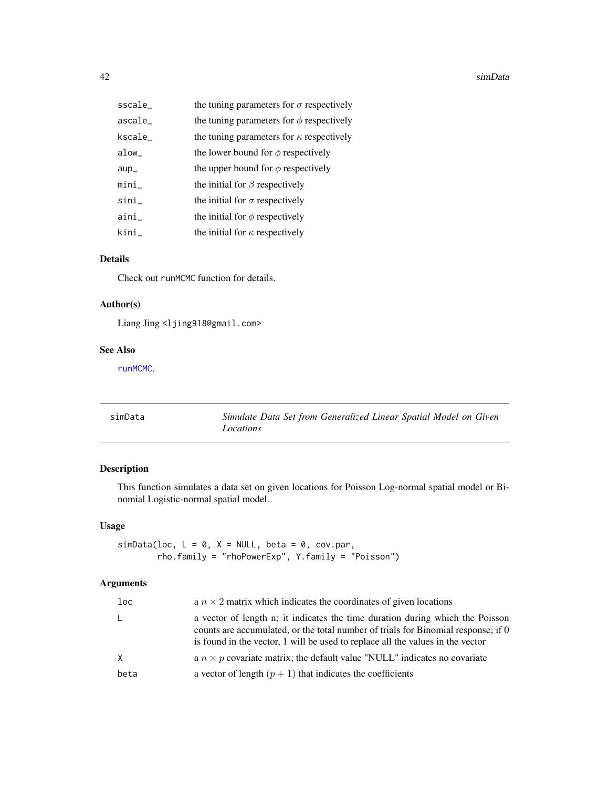#### <span id="page-41-0"></span>42 simData

| $sscale_$                    | the tuning parameters for $\sigma$ respectively |
|------------------------------|-------------------------------------------------|
| $\textsf{ascale}\_\textsf{}$ | the tuning parameters for $\phi$ respectively   |
| $\sf kscale\_$               | the tuning parameters for $\kappa$ respectively |
| alow_                        | the lower bound for $\phi$ respectively         |
| $aup$ <sub>-</sub>           | the upper bound for $\phi$ respectively         |
| mini                         | the initial for $\beta$ respectively            |
| $sini_$                      | the initial for $\sigma$ respectively           |
| $aini_$                      | the initial for $\phi$ respectively             |
| kini_                        | the initial for $\kappa$ respectively           |

# Details

Check out runMCMC function for details.

# Author(s)

Liang Jing <ljing918@gmail.com>

#### See Also

[runMCMC](#page-34-1).

<span id="page-41-1"></span>

| simData | Simulate Data Set from Generalized Linear Spatial Model on Given |
|---------|------------------------------------------------------------------|
|         | Locations                                                        |

# Description

This function simulates a data set on given locations for Poisson Log-normal spatial model or Binomial Logistic-normal spatial model.

# Usage

simData(loc,  $L = 0$ ,  $X = NULL$ , beta = 0, cov.par, rho.family = "rhoPowerExp", Y.family = "Poisson")

# Arguments

| $1$ oc   | a $n \times 2$ matrix which indicates the coordinates of given locations                                                                                                                                                                             |
|----------|------------------------------------------------------------------------------------------------------------------------------------------------------------------------------------------------------------------------------------------------------|
| L.       | a vector of length n; it indicates the time duration during which the Poisson<br>counts are accumulated, or the total number of trials for Binomial response; if 0<br>is found in the vector, 1 will be used to replace all the values in the vector |
| $\times$ | a $n \times p$ covariate matrix; the default value "NULL" indicates no covariate                                                                                                                                                                     |
| beta     | a vector of length $(p + 1)$ that indicates the coefficients                                                                                                                                                                                         |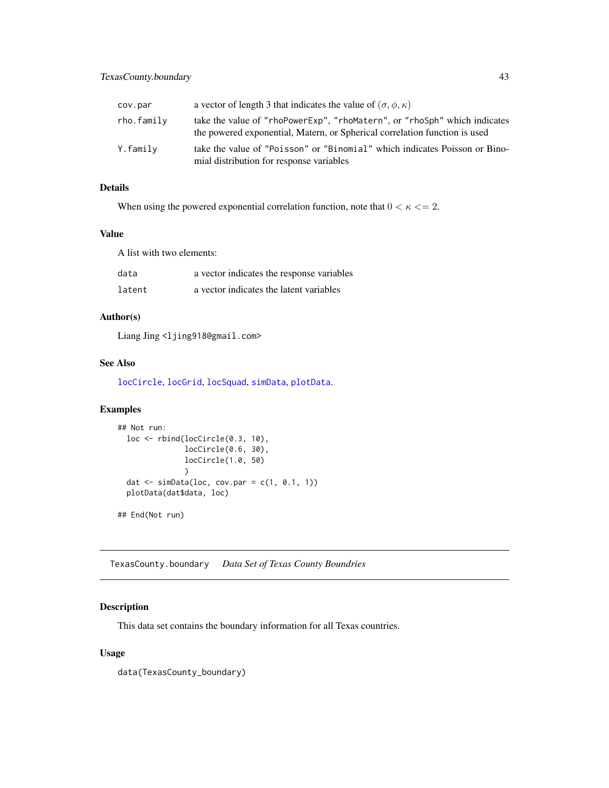<span id="page-42-0"></span>

| cov.par    | a vector of length 3 that indicates the value of $(\sigma, \phi, \kappa)$                                                                               |
|------------|---------------------------------------------------------------------------------------------------------------------------------------------------------|
| rho.family | take the value of "rhoPowerExp", "rhoMatern", or "rhoSph" which indicates<br>the powered exponential, Matern, or Spherical correlation function is used |
| Y.family   | take the value of "Poisson" or "Binomial" which indicates Poisson or Bino-<br>mial distribution for response variables                                  |

# Details

When using the powered exponential correlation function, note that  $0 < \kappa \leq 2$ .

#### Value

A list with two elements:

| data   | a vector indicates the response variables |
|--------|-------------------------------------------|
| latent | a vector indicates the latent variables   |

# Author(s)

Liang Jing <ljing918@gmail.com>

#### See Also

[locCircle](#page-11-1), [locGrid](#page-12-1), [locSquad](#page-13-1), [simData](#page-41-1), [plotData](#page-19-1).

#### Examples

```
## Not run:
 loc <- rbind(locCircle(0.3, 10),
               locCircle(0.6, 30),
               locCircle(1.0, 50)
               )
 dat \leq simData(loc, cov.par = c(1, 0.1, 1))
 plotData(dat$data, loc)
## End(Not run)
```
<span id="page-42-1"></span>TexasCounty.boundary *Data Set of Texas County Boundries*

# Description

This data set contains the boundary information for all Texas countries.

#### Usage

data(TexasCounty\_boundary)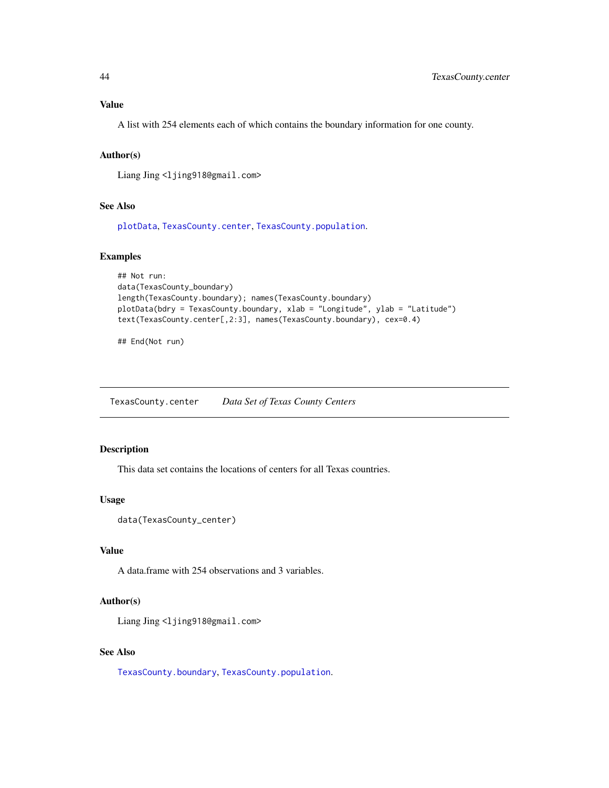# <span id="page-43-0"></span>Value

A list with 254 elements each of which contains the boundary information for one county.

#### Author(s)

Liang Jing <ljing918@gmail.com>

# See Also

[plotData](#page-19-1), [TexasCounty.center](#page-43-1), [TexasCounty.population](#page-44-1).

#### Examples

```
## Not run:
data(TexasCounty_boundary)
length(TexasCounty.boundary); names(TexasCounty.boundary)
plotData(bdry = TexasCounty.boundary, xlab = "Longitude", ylab = "Latitude")
text(TexasCounty.center[,2:3], names(TexasCounty.boundary), cex=0.4)
```
## End(Not run)

<span id="page-43-1"></span>TexasCounty.center *Data Set of Texas County Centers*

### Description

This data set contains the locations of centers for all Texas countries.

# Usage

```
data(TexasCounty_center)
```
# Value

A data.frame with 254 observations and 3 variables.

#### Author(s)

Liang Jing <ljing918@gmail.com>

#### See Also

[TexasCounty.boundary](#page-42-1), [TexasCounty.population](#page-44-1).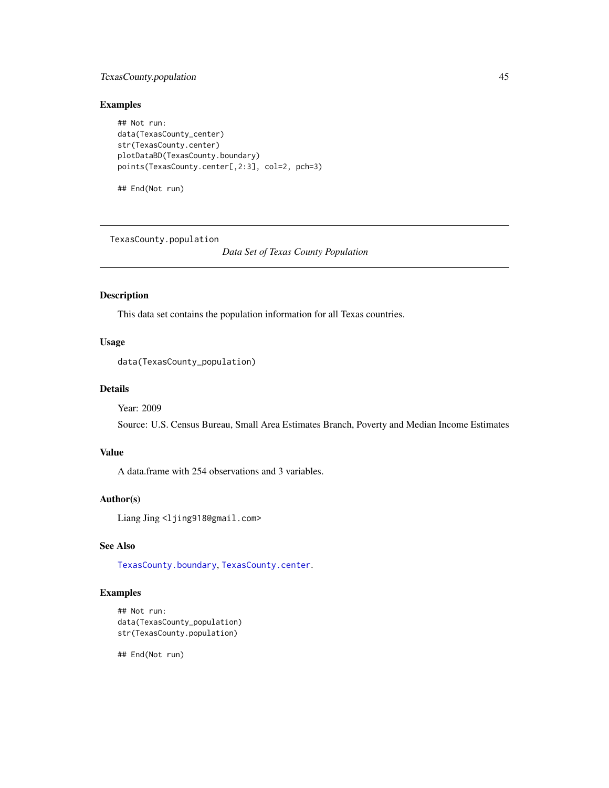# <span id="page-44-0"></span>TexasCounty.population 45

#### Examples

```
## Not run:
data(TexasCounty_center)
str(TexasCounty.center)
plotDataBD(TexasCounty.boundary)
points(TexasCounty.center[,2:3], col=2, pch=3)
```
## End(Not run)

<span id="page-44-1"></span>TexasCounty.population

*Data Set of Texas County Population*

# Description

This data set contains the population information for all Texas countries.

# Usage

```
data(TexasCounty_population)
```
#### Details

Year: 2009

Source: U.S. Census Bureau, Small Area Estimates Branch, Poverty and Median Income Estimates

#### Value

A data.frame with 254 observations and 3 variables.

# Author(s)

Liang Jing <ljing918@gmail.com>

#### See Also

[TexasCounty.boundary](#page-42-1), [TexasCounty.center](#page-43-1).

#### Examples

## Not run: data(TexasCounty\_population) str(TexasCounty.population)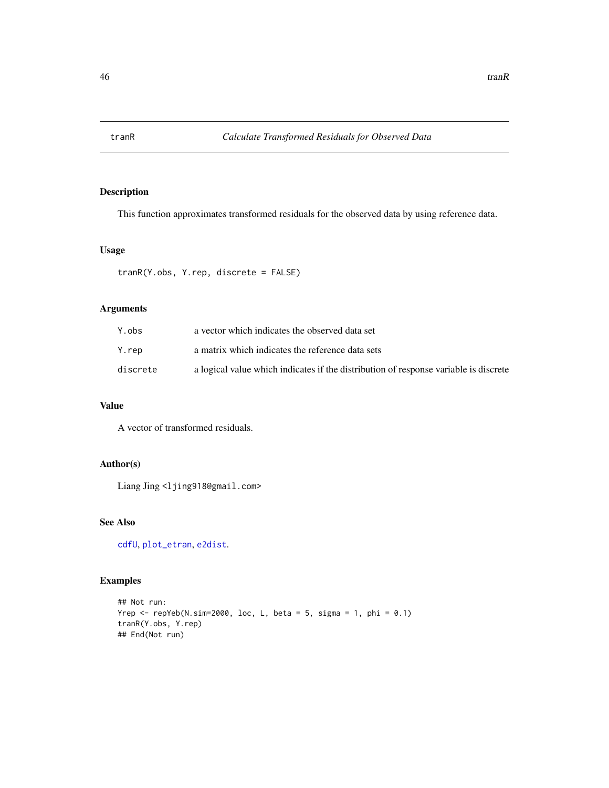<span id="page-45-1"></span><span id="page-45-0"></span>

This function approximates transformed residuals for the observed data by using reference data.

# Usage

tranR(Y.obs, Y.rep, discrete = FALSE)

#### Arguments

| Y.obs    | a vector which indicates the observed data set                                       |
|----------|--------------------------------------------------------------------------------------|
| Y.rep    | a matrix which indicates the reference data sets                                     |
| discrete | a logical value which indicates if the distribution of response variable is discrete |

# Value

A vector of transformed residuals.

# Author(s)

Liang Jing <ljing918@gmail.com>

# See Also

[cdfU](#page-4-1), [plot\\_etran](#page-21-2), [e2dist](#page-6-2).

```
## Not run:
Yrep \le repYeb(N.sim=2000, loc, L, beta = 5, sigma = 1, phi = 0.1)
tranR(Y.obs, Y.rep)
## End(Not run)
```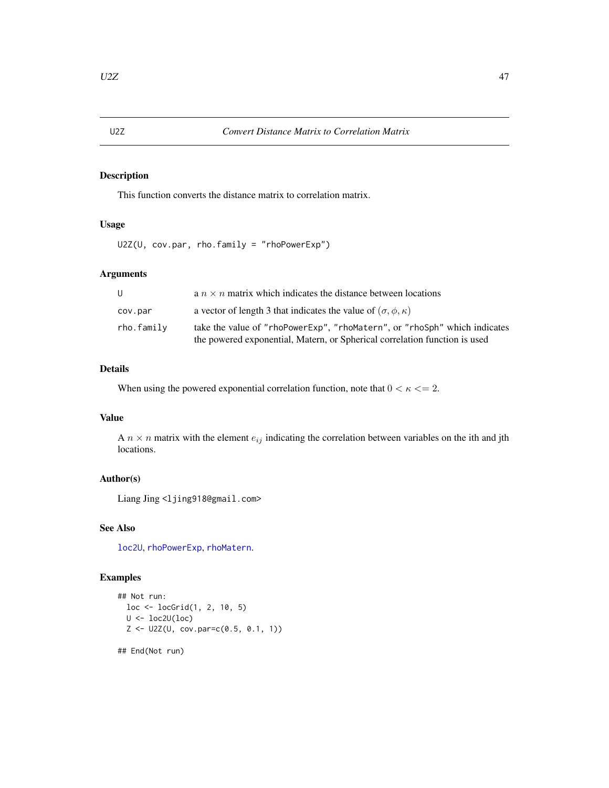<span id="page-46-1"></span><span id="page-46-0"></span>This function converts the distance matrix to correlation matrix.

# Usage

```
U2Z(U, cov.par, rho.family = "rhoPowerExp")
```
# Arguments

| U          | a $n \times n$ matrix which indicates the distance between locations                                                                                    |
|------------|---------------------------------------------------------------------------------------------------------------------------------------------------------|
| cov.par    | a vector of length 3 that indicates the value of $(\sigma, \phi, \kappa)$                                                                               |
| rho.family | take the value of "rhoPowerExp", "rhoMatern", or "rhoSph" which indicates<br>the powered exponential, Matern, or Spherical correlation function is used |

# Details

When using the powered exponential correlation function, note that  $0 < \kappa \leq 2$ .

# Value

A  $n \times n$  matrix with the element  $e_{ij}$  indicating the correlation between variables on the ith and jth locations.

# Author(s)

Liang Jing <ljing918@gmail.com>

#### See Also

[loc2U](#page-9-1), [rhoPowerExp](#page-31-1), [rhoMatern](#page-30-1).

# Examples

```
## Not run:
  loc <- locGrid(1, 2, 10, 5)
  U <- loc2U(loc)
  Z \leftarrow U2Z(U, cov.parse(0.5, 0.1, 1))
```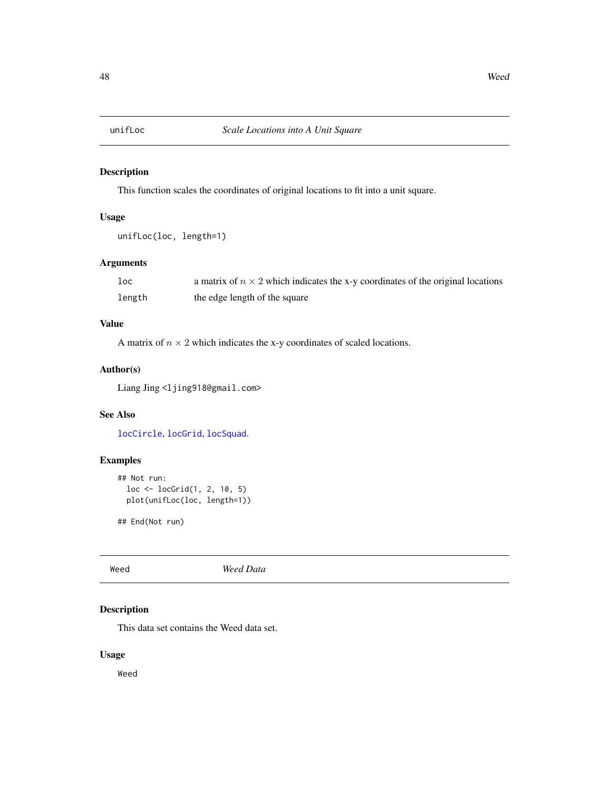<span id="page-47-0"></span>

This function scales the coordinates of original locations to fit into a unit square.

# Usage

```
unifLoc(loc, length=1)
```
# Arguments

| loc    | a matrix of $n \times 2$ which indicates the x-y coordinates of the original locations |
|--------|----------------------------------------------------------------------------------------|
| length | the edge length of the square                                                          |

# Value

A matrix of  $n \times 2$  which indicates the x-y coordinates of scaled locations.

#### Author(s)

Liang Jing <ljing918@gmail.com>

#### See Also

[locCircle](#page-11-1), [locGrid](#page-12-1), [locSquad](#page-13-1).

#### Examples

```
## Not run:
  loc <- locGrid(1, 2, 10, 5)
  plot(unifLoc(loc, length=1))
```
## End(Not run)

Weed *Weed Data*

# Description

This data set contains the Weed data set.

# Usage

Weed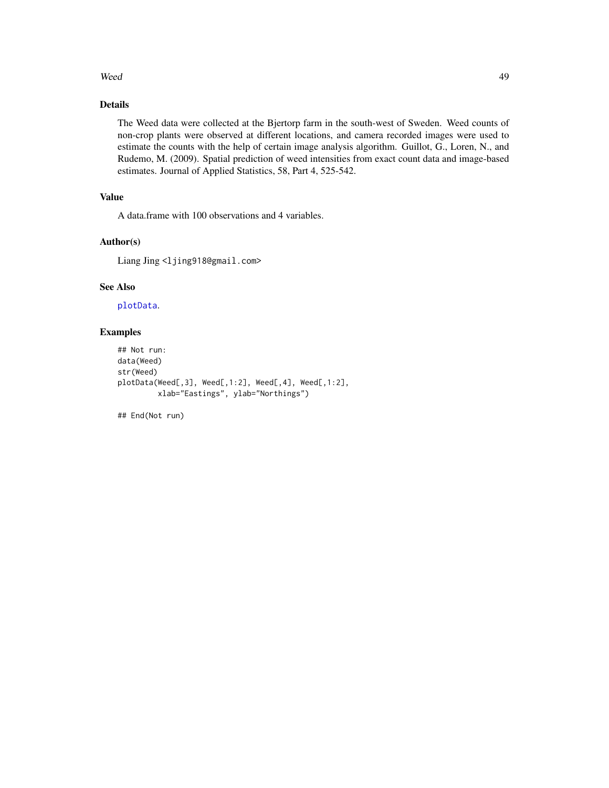#### <span id="page-48-0"></span>Weed 49

# Details

The Weed data were collected at the Bjertorp farm in the south-west of Sweden. Weed counts of non-crop plants were observed at different locations, and camera recorded images were used to estimate the counts with the help of certain image analysis algorithm. Guillot, G., Loren, N., and Rudemo, M. (2009). Spatial prediction of weed intensities from exact count data and image-based estimates. Journal of Applied Statistics, 58, Part 4, 525-542.

# Value

A data.frame with 100 observations and 4 variables.

# Author(s)

Liang Jing <ljing918@gmail.com>

# See Also

[plotData](#page-19-1).

# Examples

```
## Not run:
data(Weed)
str(Weed)
plotData(Weed[,3], Weed[,1:2], Weed[,4], Weed[,1:2],
         xlab="Eastings", ylab="Northings")
```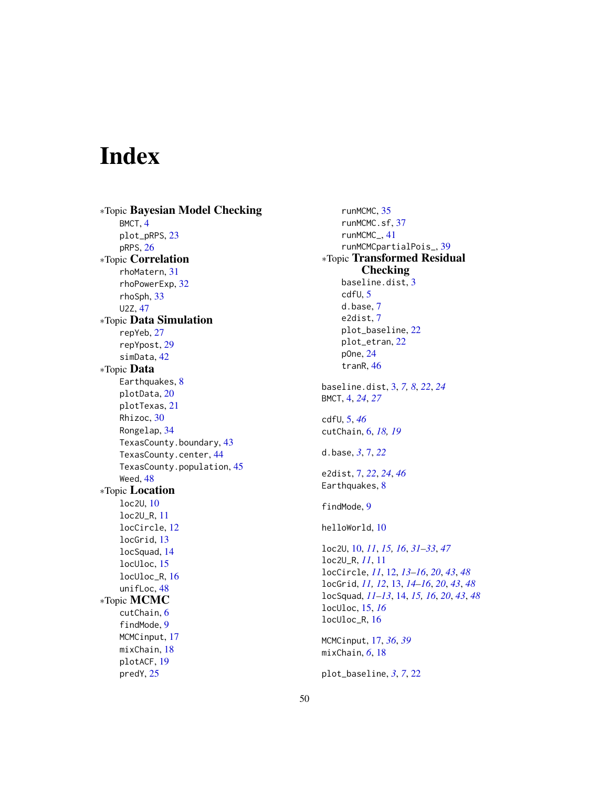# <span id="page-49-0"></span>Index

∗Topic Bayesian Model Checking BMCT, [4](#page-3-0) plot\_pRPS, [23](#page-22-0) pRPS, [26](#page-25-0) ∗Topic Correlation rhoMatern, [31](#page-30-0) rhoPowerExp, [32](#page-31-0) rhoSph, [33](#page-32-0) U2Z, [47](#page-46-0) ∗Topic Data Simulation repYeb, [27](#page-26-0) repYpost, [29](#page-28-0) simData, [42](#page-41-0) ∗Topic Data Earthquakes, [8](#page-7-0) plotData, [20](#page-19-0) plotTexas, [21](#page-20-0) Rhizoc, [30](#page-29-0) Rongelap, [34](#page-33-0) TexasCounty.boundary, [43](#page-42-0) TexasCounty.center, [44](#page-43-0) TexasCounty.population, [45](#page-44-0) Weed, [48](#page-47-0) ∗Topic Location loc2U, [10](#page-9-0) loc2U\_R, [11](#page-10-0) locCircle, [12](#page-11-0) locGrid, [13](#page-12-0) locSquad, [14](#page-13-0) locUloc, [15](#page-14-0) locUloc\_R, [16](#page-15-0) unifLoc, [48](#page-47-0) ∗Topic MCMC cutChain, [6](#page-5-0) findMode, [9](#page-8-0) MCMCinput, [17](#page-16-0) mixChain, [18](#page-17-0) plotACF, [19](#page-18-0) predY, [25](#page-24-0)

runMCMC, [35](#page-34-0) runMCMC.sf, [37](#page-36-0) runMCMC\_, [41](#page-40-0) runMCMCpartialPois\_, [39](#page-38-0) ∗Topic Transformed Residual Checking baseline.dist, [3](#page-2-0) cdfU, [5](#page-4-0) d.base, [7](#page-6-0) e2dist, [7](#page-6-0) plot\_baseline, [22](#page-21-0) plot\_etran, [22](#page-21-0) pOne, [24](#page-23-0) tranR, [46](#page-45-0) baseline.dist, [3,](#page-2-0) *[7,](#page-6-0) [8](#page-7-0)*, *[22](#page-21-0)*, *[24](#page-23-0)* BMCT, [4,](#page-3-0) *[24](#page-23-0)*, *[27](#page-26-0)* cdfU, [5,](#page-4-0) *[46](#page-45-0)* cutChain, [6,](#page-5-0) *[18,](#page-17-0) [19](#page-18-0)* d.base, *[3](#page-2-0)*, [7,](#page-6-0) *[22](#page-21-0)* e2dist, [7,](#page-6-0) *[22](#page-21-0)*, *[24](#page-23-0)*, *[46](#page-45-0)* Earthquakes, [8](#page-7-0) findMode, [9](#page-8-0) helloWorld, [10](#page-9-0) loc2U, [10,](#page-9-0) *[11](#page-10-0)*, *[15,](#page-14-0) [16](#page-15-0)*, *[31](#page-30-0)[–33](#page-32-0)*, *[47](#page-46-0)* loc2U\_R, *[11](#page-10-0)*, [11](#page-10-0) locCircle, *[11](#page-10-0)*, [12,](#page-11-0) *[13](#page-12-0)[–16](#page-15-0)*, *[20](#page-19-0)*, *[43](#page-42-0)*, *[48](#page-47-0)* locGrid, *[11,](#page-10-0) [12](#page-11-0)*, [13,](#page-12-0) *[14](#page-13-0)[–16](#page-15-0)*, *[20](#page-19-0)*, *[43](#page-42-0)*, *[48](#page-47-0)* locSquad, *[11](#page-10-0)[–13](#page-12-0)*, [14,](#page-13-0) *[15,](#page-14-0) [16](#page-15-0)*, *[20](#page-19-0)*, *[43](#page-42-0)*, *[48](#page-47-0)* locUloc, [15,](#page-14-0) *[16](#page-15-0)* locUloc\_R, [16](#page-15-0) MCMCinput, [17,](#page-16-0) *[36](#page-35-0)*, *[39](#page-38-0)* mixChain, *[6](#page-5-0)*, [18](#page-17-0) plot\_baseline, *[3](#page-2-0)*, *[7](#page-6-0)*, [22](#page-21-0)